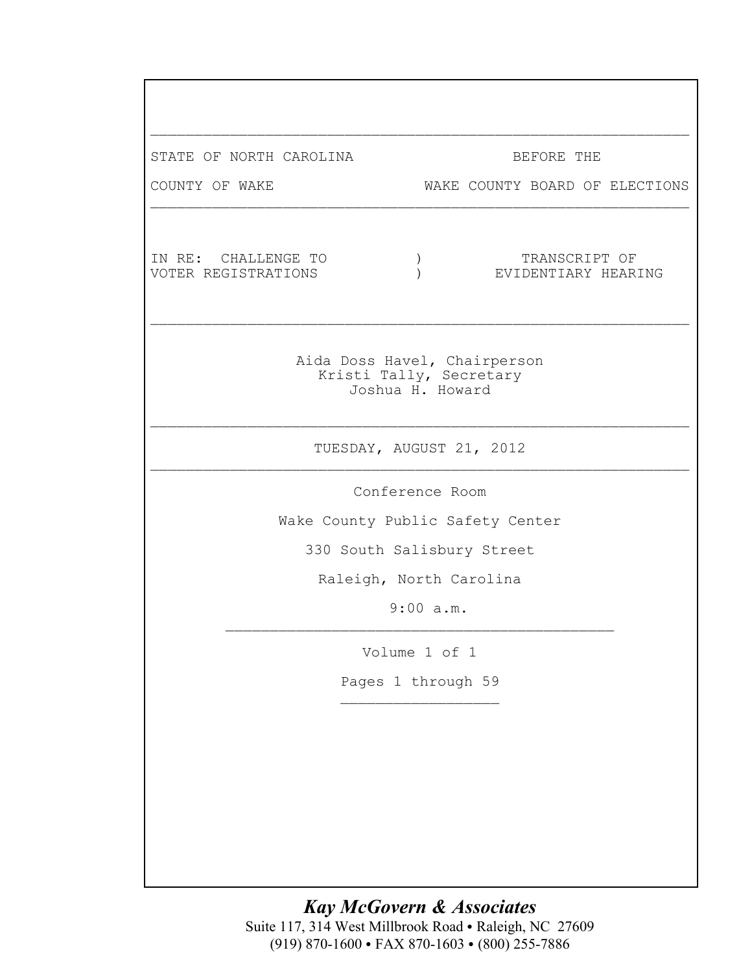| STATE OF NORTH CAROLINA                    | BEFORE THE                                                                  |  |  |
|--------------------------------------------|-----------------------------------------------------------------------------|--|--|
| COUNTY OF WAKE                             | WAKE COUNTY BOARD OF ELECTIONS                                              |  |  |
|                                            |                                                                             |  |  |
| IN RE: CHALLENGE TO<br>VOTER REGISTRATIONS | TRANSCRIPT OF<br>$\mathcal{C}$<br>EVIDENTIARY HEARING                       |  |  |
|                                            | Aida Doss Havel, Chairperson<br>Kristi Tally, Secretary<br>Joshua H. Howard |  |  |
|                                            | TUESDAY, AUGUST 21, 2012                                                    |  |  |
|                                            | Conference Room                                                             |  |  |
| Wake County Public Safety Center           |                                                                             |  |  |
|                                            | 330 South Salisbury Street                                                  |  |  |
|                                            | Raleigh, North Carolina                                                     |  |  |
|                                            | $9:00$ a.m.                                                                 |  |  |
|                                            | Volume 1 of 1                                                               |  |  |
|                                            | Pages 1 through 59                                                          |  |  |
|                                            |                                                                             |  |  |
|                                            |                                                                             |  |  |
|                                            |                                                                             |  |  |
|                                            |                                                                             |  |  |
|                                            |                                                                             |  |  |
|                                            |                                                                             |  |  |

*Kay McGovern & Associates* Suite 117, 314 West Millbrook Road · Raleigh, NC 27609 (919) 870-1600 • FAX 870-1603 • (800) 255-7886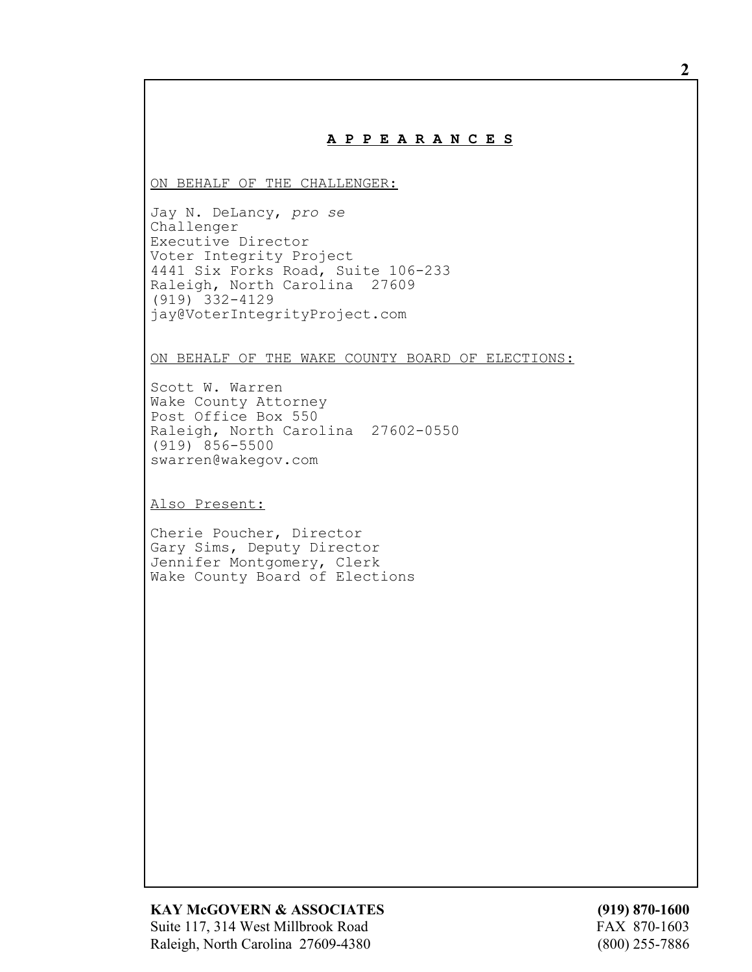## **A P P E A R A N C E S**

ON BEHALF OF THE CHALLENGER:

Jay N. DeLancy, *pro se* Challenger Executive Director Voter Integrity Project 4441 Six Forks Road, Suite 106-233 Raleigh, North Carolina 27609 (919) 332-4129 jay@VoterIntegrityProject.com

ON BEHALF OF THE WAKE COUNTY BOARD OF ELECTIONS:

Scott W. Warren Wake County Attorney Post Office Box 550 Raleigh, North Carolina 27602-0550 (919) 856-5500 swarren@wakegov.com

Also Present:

Cherie Poucher, Director Gary Sims, Deputy Director Jennifer Montgomery, Clerk Wake County Board of Elections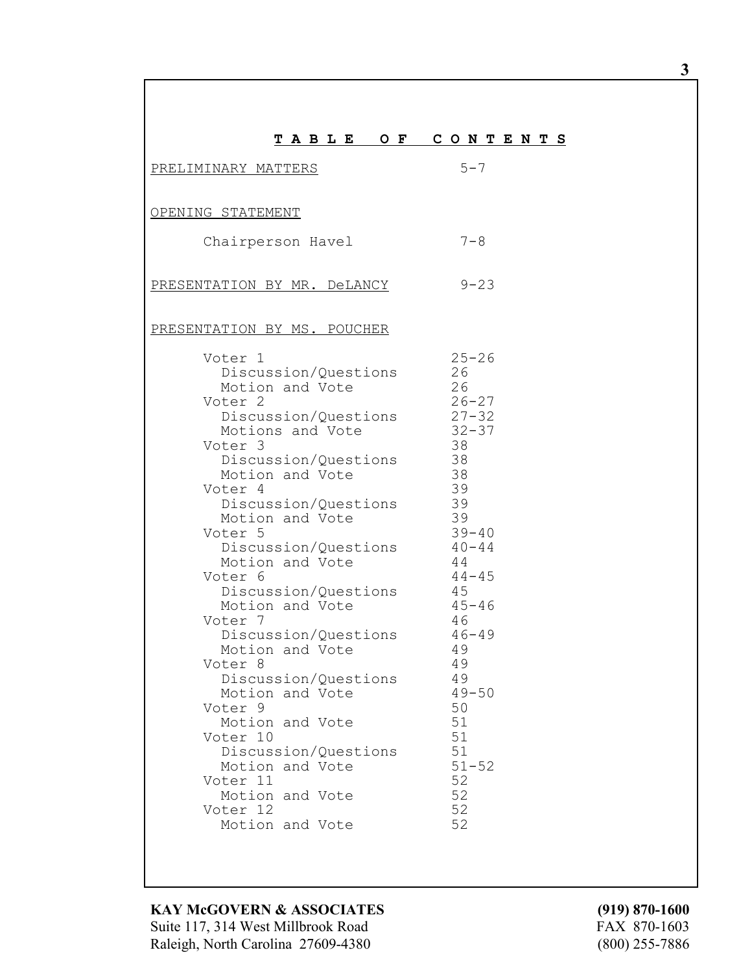| TABLE OF CONTENTS                                                                                                                                                                                                                                                                                                                                                                                                                                                                                                                                                                                           |                                                                                                                                                                                                                                                                                 |
|-------------------------------------------------------------------------------------------------------------------------------------------------------------------------------------------------------------------------------------------------------------------------------------------------------------------------------------------------------------------------------------------------------------------------------------------------------------------------------------------------------------------------------------------------------------------------------------------------------------|---------------------------------------------------------------------------------------------------------------------------------------------------------------------------------------------------------------------------------------------------------------------------------|
| PRELIMINARY MATTERS                                                                                                                                                                                                                                                                                                                                                                                                                                                                                                                                                                                         | $5 - 7$                                                                                                                                                                                                                                                                         |
| OPENING STATEMENT                                                                                                                                                                                                                                                                                                                                                                                                                                                                                                                                                                                           |                                                                                                                                                                                                                                                                                 |
|                                                                                                                                                                                                                                                                                                                                                                                                                                                                                                                                                                                                             |                                                                                                                                                                                                                                                                                 |
| Chairperson Havel                                                                                                                                                                                                                                                                                                                                                                                                                                                                                                                                                                                           | $7 - 8$                                                                                                                                                                                                                                                                         |
| PRESENTATION BY MR. DeLANCY                                                                                                                                                                                                                                                                                                                                                                                                                                                                                                                                                                                 | $9 - 23$                                                                                                                                                                                                                                                                        |
| PRESENTATION BY MS. POUCHER                                                                                                                                                                                                                                                                                                                                                                                                                                                                                                                                                                                 |                                                                                                                                                                                                                                                                                 |
| Voter 1<br>Discussion/Questions<br>Motion and Vote<br>Voter <sub>2</sub><br>Discussion/Questions<br>Motions and Vote<br>Voter 3<br>Discussion/Questions<br>Motion and Vote<br>Voter 4<br>Discussion/Questions<br>Motion and Vote<br>Voter 5<br>Discussion/Questions<br>Motion and Vote<br>Voter 6<br>Discussion/Questions<br>Motion and Vote<br>Voter 7<br>Discussion/Questions<br>Motion and Vote<br>Voter 8<br>Discussion/Questions<br>Motion and Vote<br>Voter 9<br>Motion and Vote<br>Voter 10<br>Discussion/Questions<br>Motion and Vote<br>Voter 11<br>Motion and Vote<br>Voter 12<br>Motion and Vote | $25 - 26$<br>26<br>26<br>$26 - 27$<br>$27 - 32$<br>$32 - 37$<br>38<br>38<br>38<br>39<br>39<br>39<br>$39 - 40$<br>$40 - 44$<br>44<br>$44 - 45$<br>45<br>$45 - 46$<br>46<br>$46 - 49$<br>49<br>49<br>49<br>$49 - 50$<br>50<br>51<br>51<br>51<br>$51 - 52$<br>52<br>52<br>52<br>52 |

Г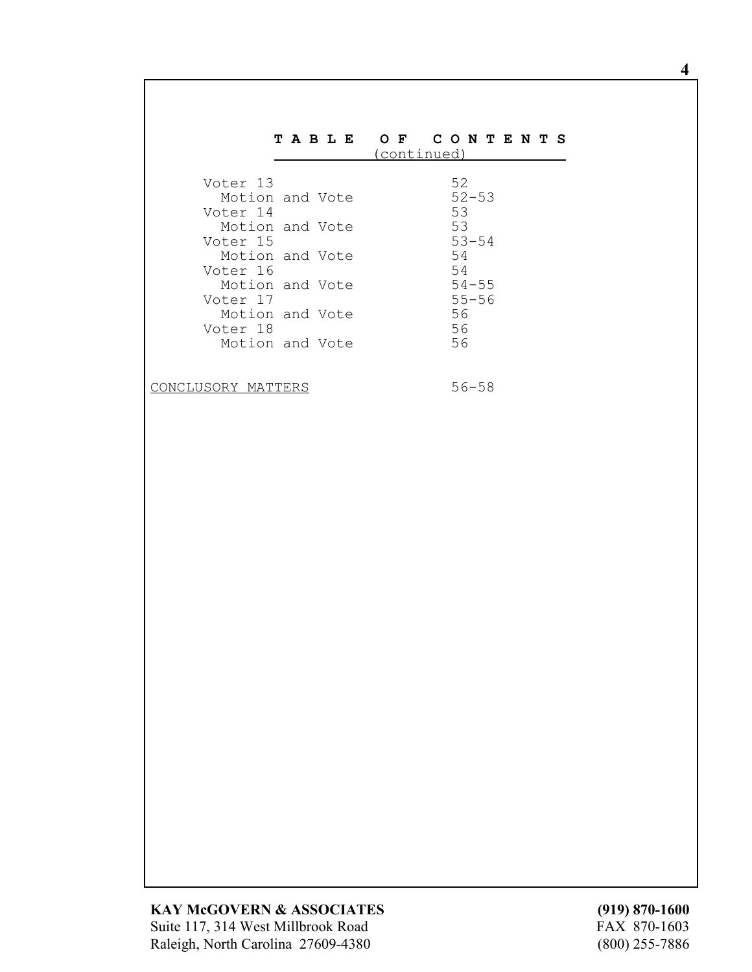## **T A B L E O F C O N T E N T S** (continued)

| Voter 13        |  | 52        |  |
|-----------------|--|-----------|--|
| Motion and Vote |  | $52 - 53$ |  |
| Voter 14        |  | 53        |  |
| Motion and Vote |  | 53        |  |
| Voter 15        |  | $53 - 54$ |  |
| Motion and Vote |  | 54        |  |
| Voter 16        |  | 54        |  |
| Motion and Vote |  | $54 - 55$ |  |
| Voter 17        |  | $55 - 56$ |  |
| Motion and Vote |  | 56        |  |
| Voter 18        |  | 56        |  |
| Motion and Vote |  | 56        |  |
|                 |  |           |  |

CONCLUSORY MATTERS 56-58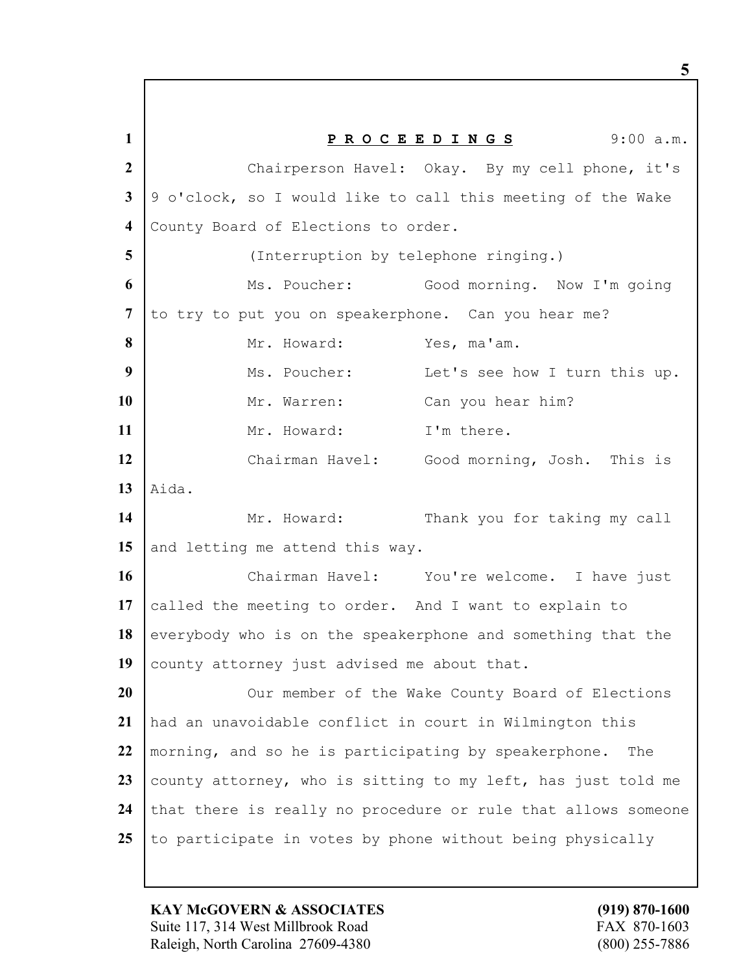**1 P R O C E E D I N G S** 9:00 a.m. 2 Chairperson Havel: Okay. By my cell phone, it's **3** 9 o'clock, so I would like to call this meeting of the Wake **4** County Board of Elections to order. **5** (Interruption by telephone ringing.) **6** Ms. Poucher: Good morning. Now I'm going **7** to try to put you on speakerphone. Can you hear me? 8 Mr. Howard: Yes, ma'am. **9** Ms. Poucher: Let's see how I turn this up. 10 | Mr. Warren: Can you hear him? 11 Mr. Howard: I'm there. **12** Chairman Havel: Good morning, Josh. This is  $13$  Aida. 14 Mr. Howard: Thank you for taking my call 15 and letting me attend this way. **16** Chairman Havel: You're welcome. I have just **17** called the meeting to order. And I want to explain to 18 everybody who is on the speakerphone and something that the 19 county attorney just advised me about that. **20** Our member of the Wake County Board of Elections **21** had an unavoidable conflict in court in Wilmington this **22** morning, and so he is participating by speakerphone. The **23** county attorney, who is sitting to my left, has just told me 24 that there is really no procedure or rule that allows someone 25 to participate in votes by phone without being physically

**KAY McGOVERN & ASSOCIATES (919) 870-1600** Suite 117, 314 West Millbrook Road FAX 870-1603 Raleigh, North Carolina 27609-4380 (800) 255-7886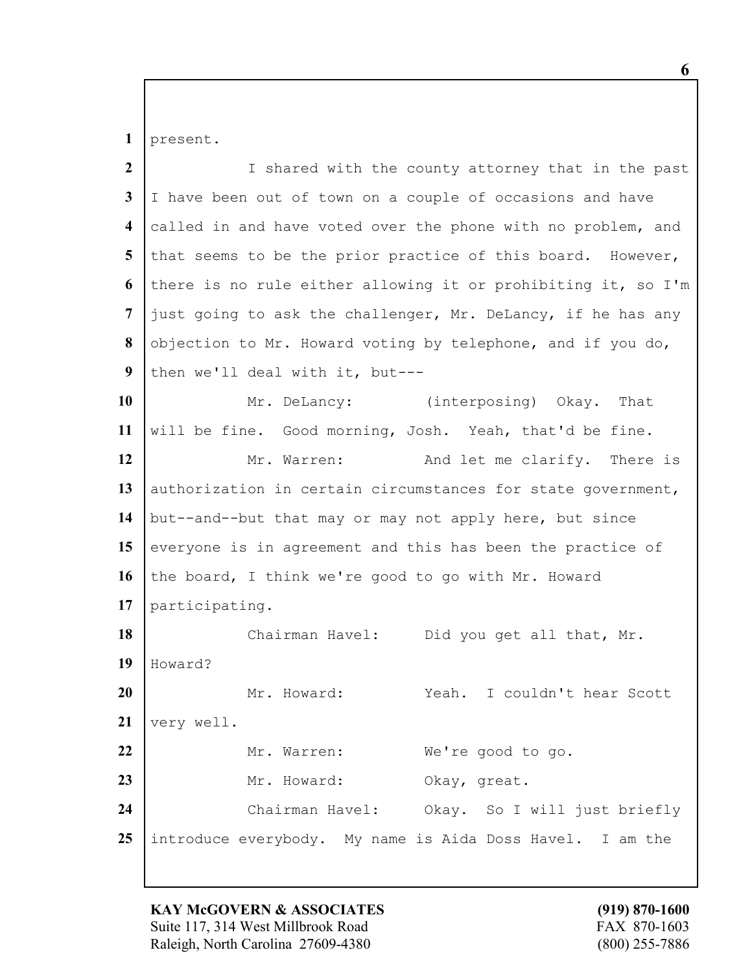present.

| $\overline{2}$          | I shared with the county attorney that in the past            |
|-------------------------|---------------------------------------------------------------|
| 3                       | I have been out of town on a couple of occasions and have     |
| $\overline{\mathbf{4}}$ | called in and have voted over the phone with no problem, and  |
| 5                       | that seems to be the prior practice of this board. However,   |
| 6                       | there is no rule either allowing it or prohibiting it, so I'm |
| 7                       | just going to ask the challenger, Mr. DeLancy, if he has any  |
| 8                       | objection to Mr. Howard voting by telephone, and if you do,   |
| 9                       | then we'll deal with it, but---                               |
| <b>10</b>               | Mr. DeLancy: (interposing) Okay. That                         |
| 11                      | will be fine. Good morning, Josh. Yeah, that'd be fine.       |
| 12                      | Mr. Warren:<br>And let me clarify. There is                   |
| 13                      | authorization in certain circumstances for state government,  |
| 14                      | but--and--but that may or may not apply here, but since       |
| 15                      | everyone is in agreement and this has been the practice of    |
| <b>16</b>               | the board, I think we're good to go with Mr. Howard           |
| 17                      | participating.                                                |
| 18                      | Chairman Havel: Did you get all that, Mr.                     |
| 19                      | Howard?                                                       |
| <b>20</b>               | Mr. Howard:<br>I couldn't hear Scott<br>Yeah.                 |
| 21                      | very well.                                                    |
| 22                      | Mr. Warren:<br>We're good to go.                              |
| 23                      | Mr. Howard:<br>Okay, great.                                   |
| 24                      | Chairman Havel: Okay. So I will just briefly                  |
| 25                      | introduce everybody. My name is Aida Doss Havel. I am the     |

**KAY McGOVERN & ASSOCIATES** (919) 870-1600<br>Suite 117, 314 West Millbrook Road FAX 870-1603 Suite 117, 314 West Millbrook Road Raleigh, North Carolina 27609-4380 (800) 255-7886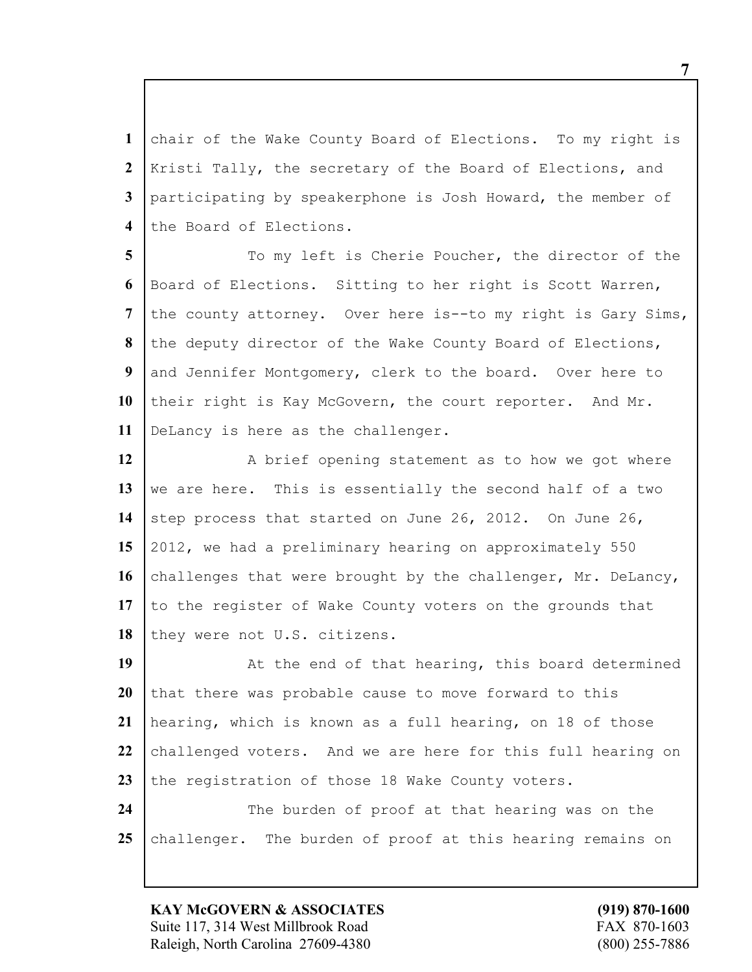chair of the Wake County Board of Elections. To my right is Kristi Tally, the secretary of the Board of Elections, and participating by speakerphone is Josh Howard, the member of 4 the Board of Elections.

 To my left is Cherie Poucher, the director of the Board of Elections. Sitting to her right is Scott Warren, the county attorney. Over here is--to my right is Gary Sims, the deputy director of the Wake County Board of Elections, and Jennifer Montgomery, clerk to the board. Over here to 10 their right is Kay McGovern, the court reporter. And Mr. DeLancy is here as the challenger.

12 A brief opening statement as to how we got where 13 we are here. This is essentially the second half of a two 14 step process that started on June 26, 2012. On June 26, **15** 2012, we had a preliminary hearing on approximately 550 16 challenges that were brought by the challenger, Mr. DeLancy, 17 to the register of Wake County voters on the grounds that 18 they were not U.S. citizens.

19 | At the end of that hearing, this board determined **20** that there was probable cause to move forward to this **21** hearing, which is known as a full hearing, on 18 of those 22 challenged voters. And we are here for this full hearing on 23 the registration of those 18 Wake County voters. **24** The burden of proof at that hearing was on the 25 challenger. The burden of proof at this hearing remains on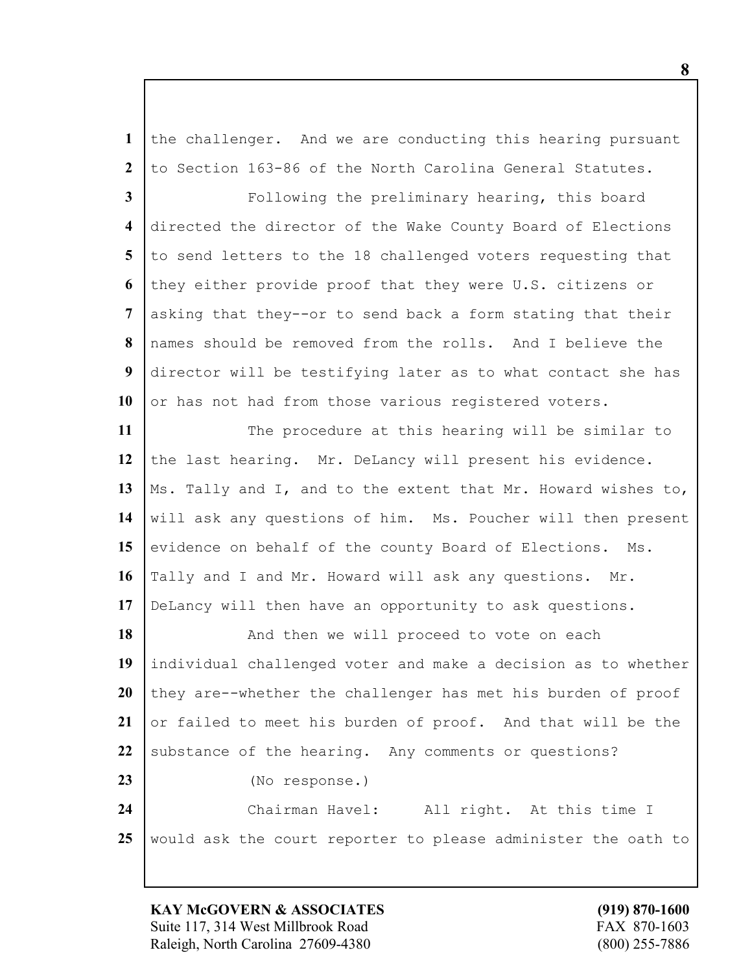the challenger. And we are conducting this hearing pursuant to Section 163-86 of the North Carolina General Statutes.

 **Following the preliminary hearing, this board**  directed the director of the Wake County Board of Elections 5 to send letters to the 18 challenged voters requesting that they either provide proof that they were U.S. citizens or asking that they--or to send back a form stating that their names should be removed from the rolls. And I believe the director will be testifying later as to what contact she has 10 or has not had from those various registered voters.

11 The procedure at this hearing will be similar to 12 the last hearing. Mr. DeLancy will present his evidence. 13 | Ms. Tally and I, and to the extent that Mr. Howard wishes to, will ask any questions of him. Ms. Poucher will then present 15 evidence on behalf of the county Board of Elections. Ms. Tally and I and Mr. Howard will ask any questions. Mr. DeLancy will then have an opportunity to ask questions.

18 | And then we will proceed to vote on each individual challenged voter and make a decision as to whether they are--whether the challenger has met his burden of proof or failed to meet his burden of proof. And that will be the 22 substance of the hearing. Any comments or questions? (No response.) Chairman Havel: All right. At this time I would ask the court reporter to please administer the oath to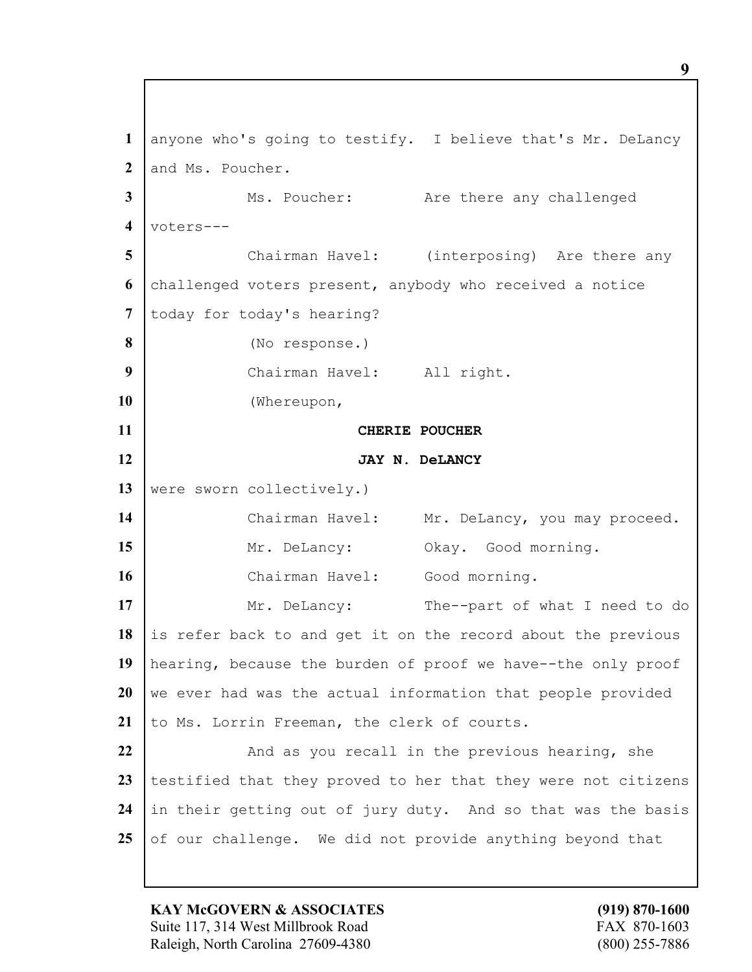anyone who's going to testify. I believe that's Mr. DeLancy 2 and Ms. Poucher. Ms. Poucher: Are there any challenged voters--- Chairman Havel: (interposing) Are there any challenged voters present, anybody who received a notice 7 today for today's hearing? (No response.) Chairman Havel: All right. (Whereupon, **CHERIE POUCHER JAY N. DeLANCY** 13 were sworn collectively.) 14 | Chairman Havel: Mr. DeLancy, you may proceed. 15 Mr. DeLancy: Okay. Good morning. 16 | Chairman Havel: Good morning. 17 Mr. DeLancy: The--part of what I need to do 18 is refer back to and get it on the record about the previous hearing, because the burden of proof we have--the only proof we ever had was the actual information that people provided 21 to Ms. Lorrin Freeman, the clerk of courts. And as you recall in the previous hearing, she testified that they proved to her that they were not citizens in their getting out of jury duty. And so that was the basis of our challenge. We did not provide anything beyond that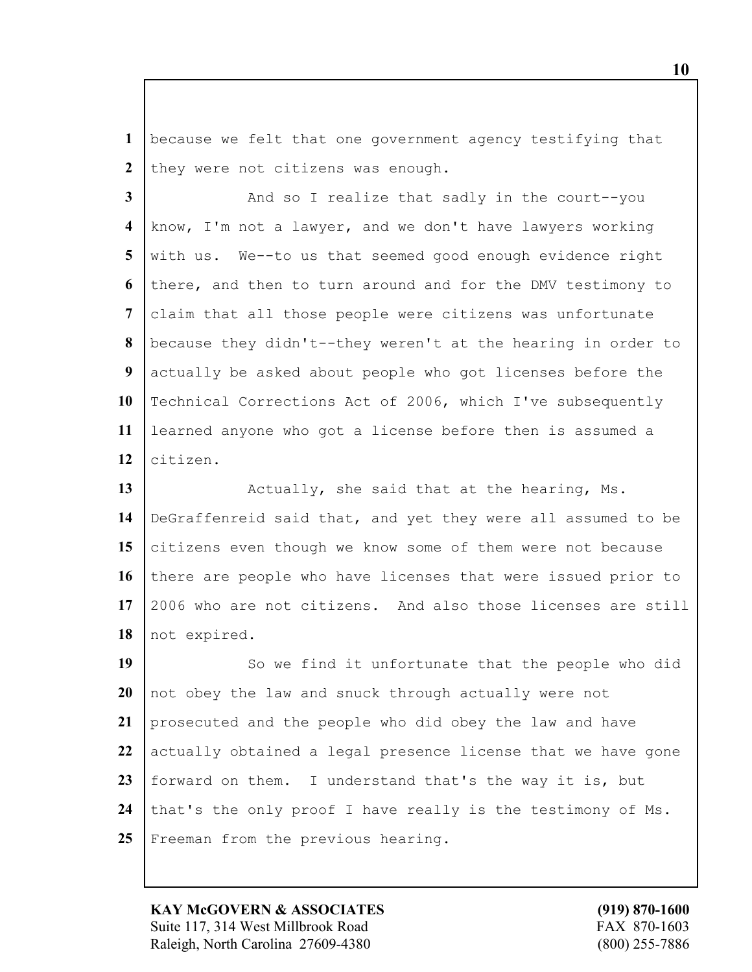because we felt that one government agency testifying that 2 they were not citizens was enough.

 And so I realize that sadly in the court--you know, I'm not a lawyer, and we don't have lawyers working with us. We--to us that seemed good enough evidence right there, and then to turn around and for the DMV testimony to claim that all those people were citizens was unfortunate because they didn't--they weren't at the hearing in order to actually be asked about people who got licenses before the 10 Technical Corrections Act of 2006, which I've subsequently learned anyone who got a license before then is assumed a citizen.

13 | Actually, she said that at the hearing, Ms. DeGraffenreid said that, and yet they were all assumed to be citizens even though we know some of them were not because there are people who have licenses that were issued prior to 2006 who are not citizens. And also those licenses are still 18 | not expired.

19 | So we find it unfortunate that the people who did not obey the law and snuck through actually were not prosecuted and the people who did obey the law and have actually obtained a legal presence license that we have gone forward on them. I understand that's the way it is, but 24 that's the only proof I have really is the testimony of Ms. 25 Freeman from the previous hearing.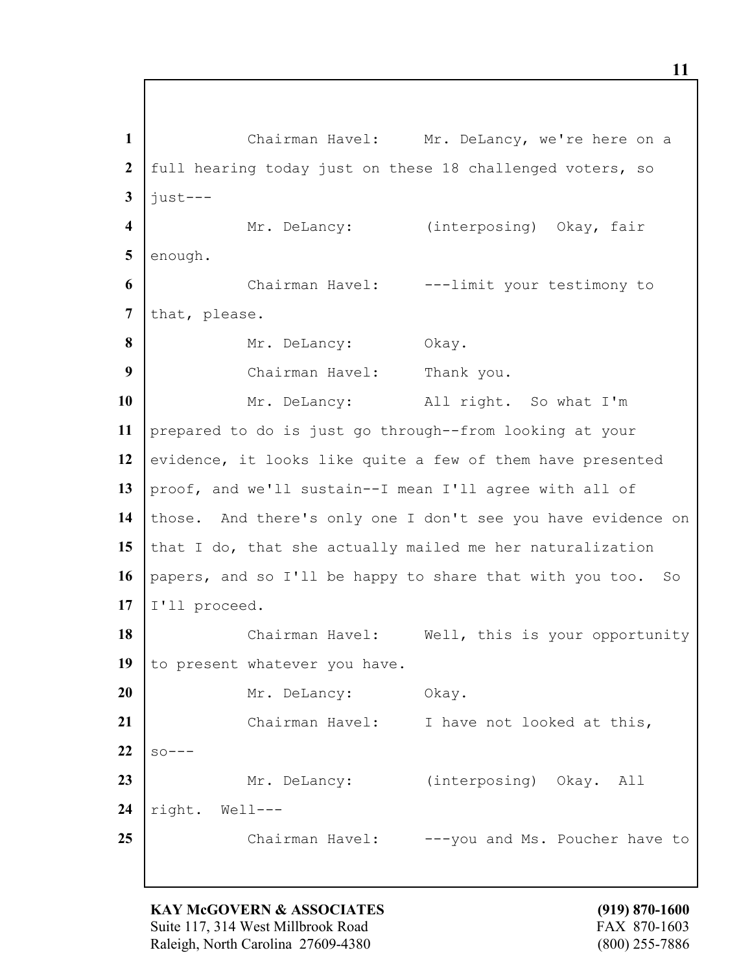**1** Chairman Havel: Mr. DeLancy, we're here on a **2** full hearing today just on these 18 challenged voters, so  $3$   $\frac{1}{1}$   $\frac{1}{1}$ **4** Mr. DeLancy: (interposing) Okay, fair 5 enough. **6** Chairman Havel: ---limit your testimony to 7 that, please. 8 Mr. DeLancy: Okay. **9** Chairman Havel: Thank you. **10** Mr. DeLancy: All right. So what I'm **11** prepared to do is just go through--from looking at your 12 evidence, it looks like quite a few of them have presented **13** proof, and we'll sustain--I mean I'll agree with all of **14** those. And there's only one I don't see you have evidence on 15 that I do, that she actually mailed me her naturalization **16** papers, and so I'll be happy to share that with you too. So **17** I'll proceed. 18 | Chairman Havel: Well, this is your opportunity 19 to present whatever you have. 20 Mr. DeLancy: Okay. 21 | Chairman Havel: I have not looked at this,  $22 \mid \text{so---}$ 23 | Mr. DeLancy: (interposing) Okay. All **24** right. Well--- **25** Chairman Havel: ---you and Ms. Poucher have to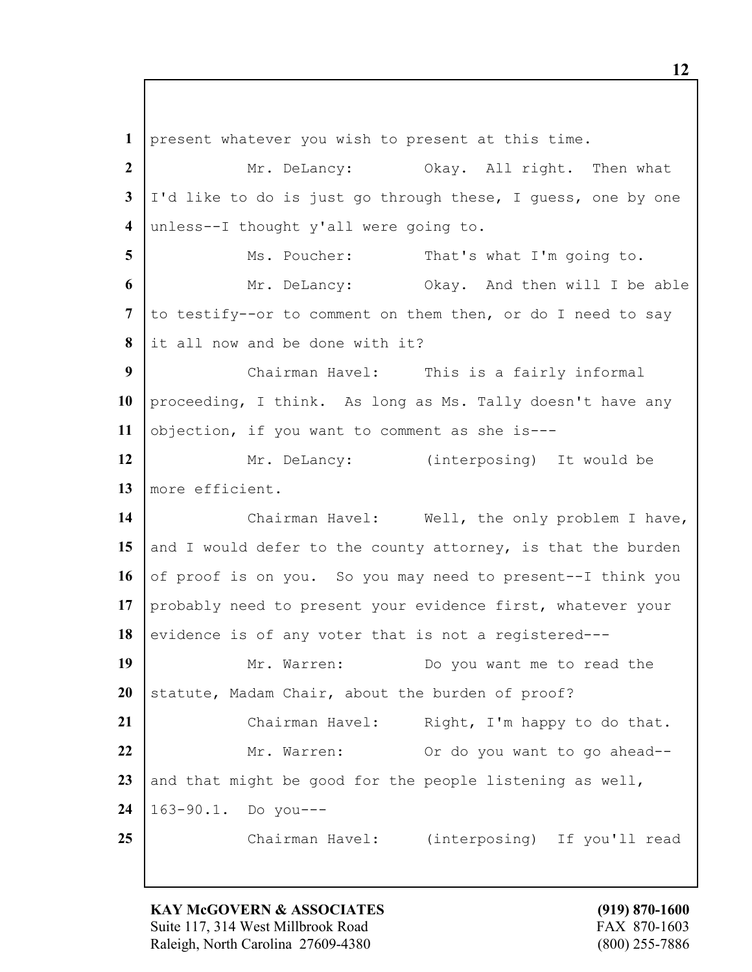**1** present whatever you wish to present at this time. 2 Mr. DeLancy: Okay. All right. Then what **3** I'd like to do is just go through these, I guess, one by one **4** unless--I thought y'all were going to. **5** Ms. Poucher: That's what I'm going to. **6** Mr. DeLancy: Okay. And then will I be able 7 to testify--or to comment on them then, or do I need to say **8** it all now and be done with it? **9** Chairman Havel: This is a fairly informal **10** proceeding, I think. As long as Ms. Tally doesn't have any **11** objection, if you want to comment as she is--- 12 Mr. DeLancy: (interposing) It would be **13** more efficient. 14 | Chairman Havel: Well, the only problem I have, 15 and I would defer to the county attorney, is that the burden 16 of proof is on you. So you may need to present--I think you **17** probably need to present your evidence first, whatever your 18 evidence is of any voter that is not a registered---19 Mr. Warren: Do you want me to read the 20 statute, Madam Chair, about the burden of proof? 21 | Chairman Havel: Right, I'm happy to do that. **22** Mr. Warren: Or do you want to go ahead--23 and that might be good for the people listening as well, **24** 163-90.1. Do you--- **25** Chairman Havel: (interposing) If you'll read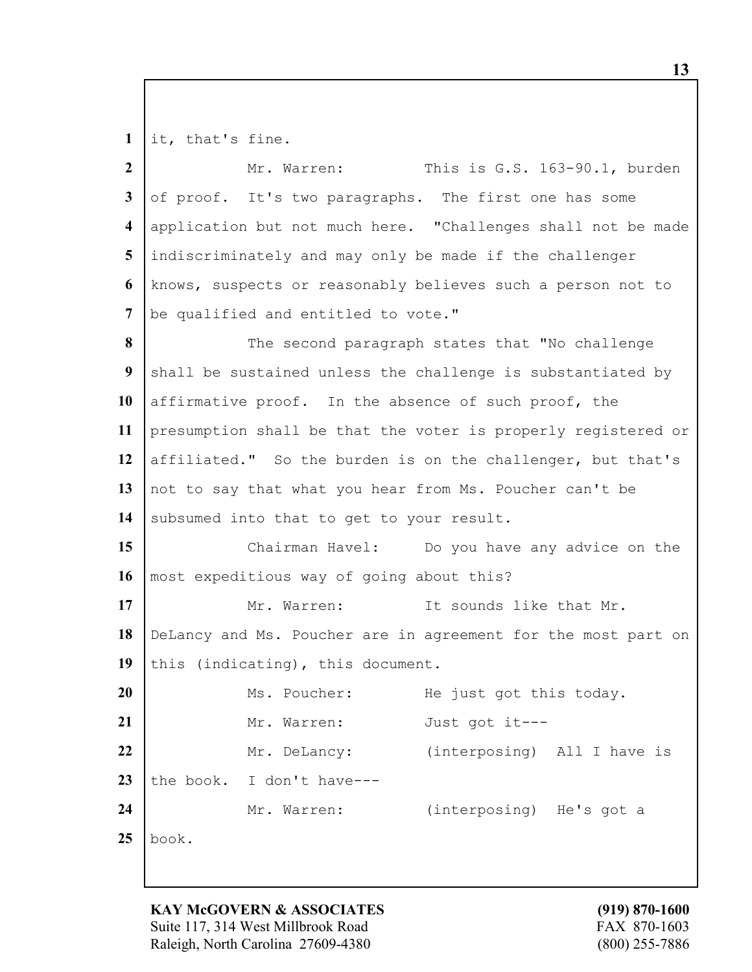it, that's fine.

| $\overline{2}$          | This is G.S. 163-90.1, burden<br>Mr. Warren:                  |  |  |  |  |
|-------------------------|---------------------------------------------------------------|--|--|--|--|
| $\mathbf{3}$            | of proof. It's two paragraphs. The first one has some         |  |  |  |  |
| $\overline{\mathbf{4}}$ | application but not much here. "Challenges shall not be made  |  |  |  |  |
| 5                       | indiscriminately and may only be made if the challenger       |  |  |  |  |
| 6                       | knows, suspects or reasonably believes such a person not to   |  |  |  |  |
| 7                       | be qualified and entitled to vote."                           |  |  |  |  |
| 8                       | The second paragraph states that "No challenge                |  |  |  |  |
| 9                       | shall be sustained unless the challenge is substantiated by   |  |  |  |  |
| 10                      | affirmative proof. In the absence of such proof, the          |  |  |  |  |
| 11                      | presumption shall be that the voter is properly registered or |  |  |  |  |
| 12                      | affiliated." So the burden is on the challenger, but that's   |  |  |  |  |
| 13                      | not to say that what you hear from Ms. Poucher can't be       |  |  |  |  |
| 14                      | subsumed into that to get to your result.                     |  |  |  |  |
| 15                      | Chairman Havel: Do you have any advice on the                 |  |  |  |  |
| 16                      | most expeditious way of going about this?                     |  |  |  |  |
| 17                      | It sounds like that Mr.<br>Mr. Warren:                        |  |  |  |  |
| 18                      | DeLancy and Ms. Poucher are in agreement for the most part on |  |  |  |  |
| 19                      | this (indicating), this document.                             |  |  |  |  |
| 20                      | Ms. Poucher:<br>He just got this today.                       |  |  |  |  |
| 21                      | Just got it ---<br>Mr. Warren:                                |  |  |  |  |
| 22                      | (interposing) All I have is<br>Mr. DeLancy:                   |  |  |  |  |
| 23                      | the book. I don't have---                                     |  |  |  |  |
| 24                      | (interposing) He's got a<br>Mr. Warren:                       |  |  |  |  |
| 25                      | book.                                                         |  |  |  |  |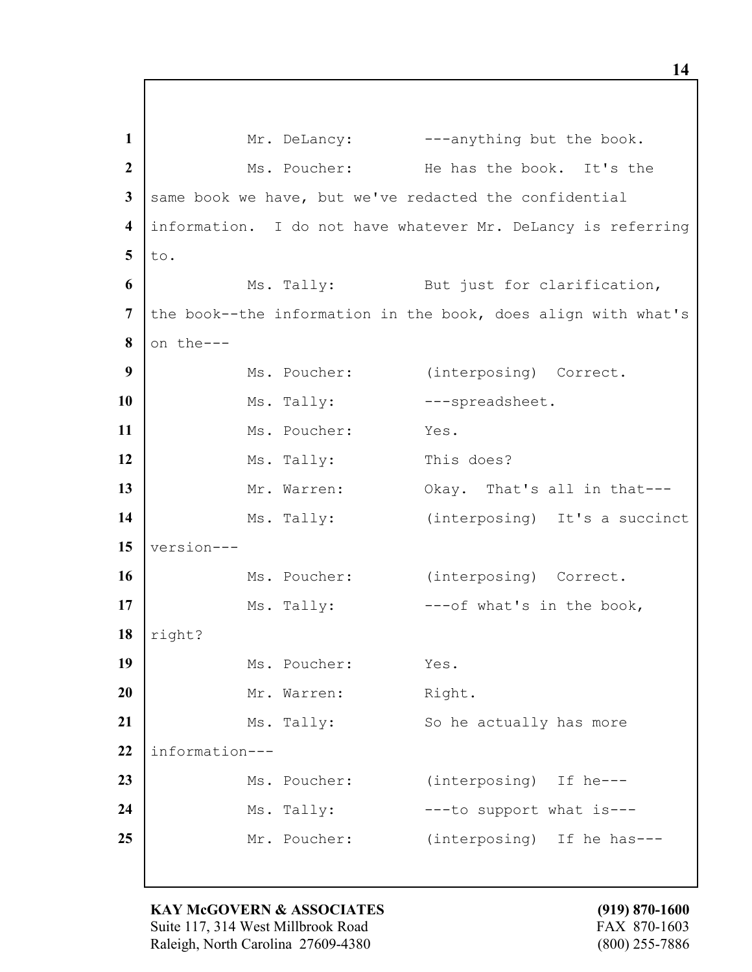1 Mr. DeLancy: ---anything but the book. **2** Ms. Poucher: He has the book. It's the **3** same book we have, but we've redacted the confidential **4** information. I do not have whatever Mr. DeLancy is referring  $5$  to. **6** Ms. Tally: But just for clarification, 7 the book--the information in the book, does align with what's  $8$  on the---**9** Ms. Poucher: (interposing) Correct. 10 Ms. Tally: ---spreadsheet. **11** Ms. Poucher: Yes. **12** Ms. Tally: This does? 13 Mr. Warren: Okay. That's all in that---14 Ms. Tally: (interposing) It's a succinct **15** version--- 16 Ms. Poucher: (interposing) Correct. 17 Ms. Tally:  $--of what's in the book,$ **18** right? 19 Ms. Poucher: Yes. 20 | Mr. Warren: Right. 21 Ms. Tally: So he actually has more **22** information--- 23 | Ms. Poucher: (interposing) If he---**24** Ms. Tally:  $--$  to support what is---25 Mr. Poucher: (interposing) If he has---

**KAY McGOVERN & ASSOCIATES (919) 870-1600** Suite 117, 314 West Millbrook Road FAX 870-1603 Raleigh, North Carolina 27609-4380 (800) 255-7886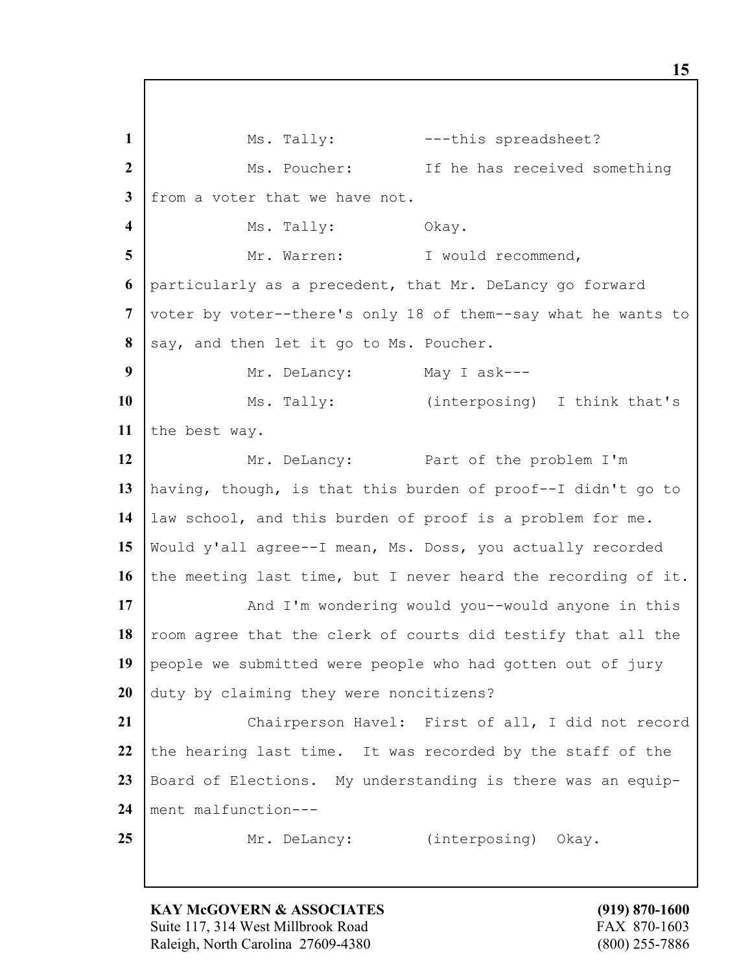1 Ms. Tally:  $-$ --this spreadsheet? **2** Ms. Poucher: If he has received something **3** from a voter that we have not. **4 I** Ms. Tally: Okay. 5 | Mr. Warren: I would recommend, **6** particularly as a precedent, that Mr. DeLancy go forward **7** voter by voter--there's only 18 of them--say what he wants to 8 say, and then let it go to Ms. Poucher. **9** Mr. DeLancy: May I ask---10 | Ms. Tally: (interposing) I think that's 11 the best way. 12 | Mr. DeLancy: Part of the problem I'm **13** having, though, is that this burden of proof--I didn't go to **14** law school, and this burden of proof is a problem for me. **15** Would y'all agree--I mean, Ms. Doss, you actually recorded **16** the meeting last time, but I never heard the recording of it. **17** And I'm wondering would you--would anyone in this 18 room agree that the clerk of courts did testify that all the 19 people we submitted were people who had gotten out of jury **20** duty by claiming they were noncitizens? **21** Chairperson Havel: First of all, I did not record 22 the hearing last time. It was recorded by the staff of the **23** Board of Elections. My understanding is there was an equip-**24** ment malfunction--- 25 Mr. DeLancy: (interposing) Okay.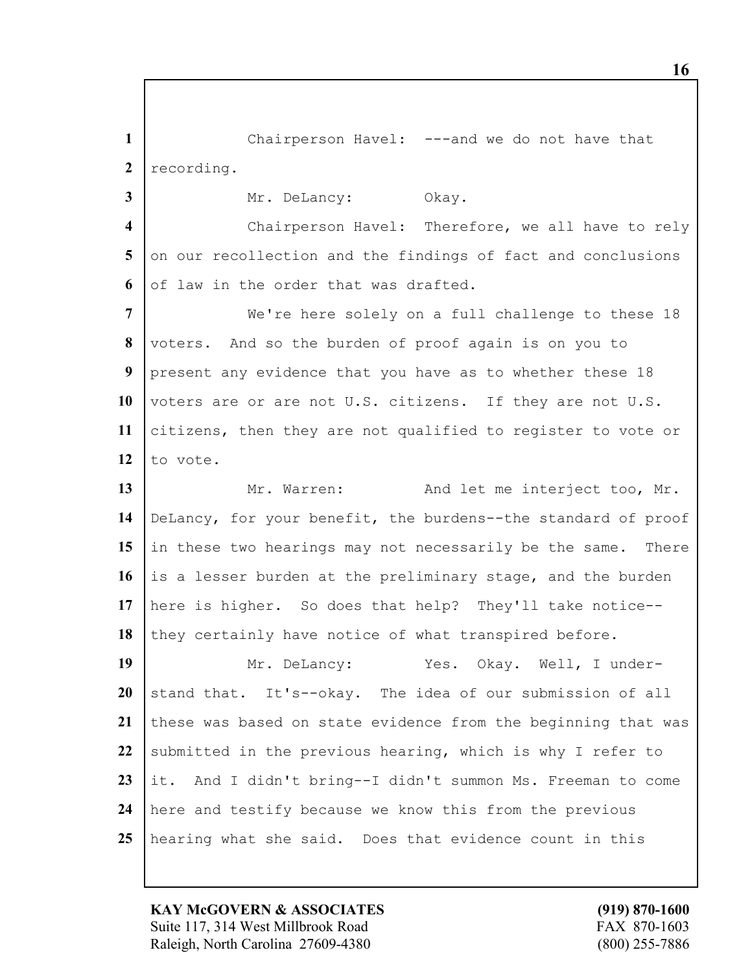Chairperson Havel: ---and we do not have that 2 recording.

3 Mr. DeLancy: Okay.

 Chairperson Havel: Therefore, we all have to rely on our recollection and the findings of fact and conclusions of law in the order that was drafted.

 We're here solely on a full challenge to these 18 voters. And so the burden of proof again is on you to present any evidence that you have as to whether these 18 voters are or are not U.S. citizens. If they are not U.S. citizens, then they are not qualified to register to vote or to vote.

13 Mr. Warren: And let me interject too, Mr. DeLancy, for your benefit, the burdens--the standard of proof 15 in these two hearings may not necessarily be the same. There is a lesser burden at the preliminary stage, and the burden here is higher. So does that help? They'll take notice-- 18 they certainly have notice of what transpired before.

19 Mr. DeLancy: Yes. Okay. Well, I under- stand that. It's--okay. The idea of our submission of all 21 these was based on state evidence from the beginning that was 22 submitted in the previous hearing, which is why I refer to it. And I didn't bring--I didn't summon Ms. Freeman to come here and testify because we know this from the previous hearing what she said. Does that evidence count in this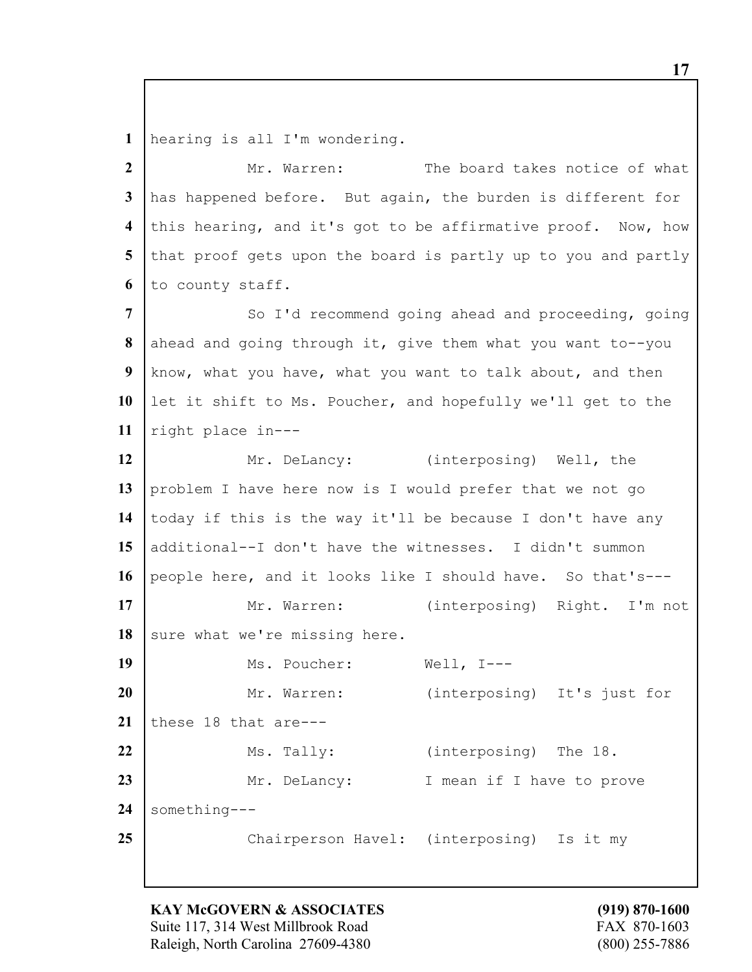hearing is all I'm wondering.

 Mr. Warren: The board takes notice of what has happened before. But again, the burden is different for this hearing, and it's got to be affirmative proof. Now, how 5 that proof gets upon the board is partly up to you and partly to county staff.

 So I'd recommend going ahead and proceeding, going ahead and going through it, give them what you want to--you know, what you have, what you want to talk about, and then let it shift to Ms. Poucher, and hopefully we'll get to the right place in---

 Mr. DeLancy: (interposing) Well, the problem I have here now is I would prefer that we not go today if this is the way it'll be because I don't have any additional--I don't have the witnesses. I didn't summon people here, and it looks like I should have. So that's---

17 | Mr. Warren: (interposing) Right. I'm not 18 sure what we're missing here.

 Ms. Poucher: Well, I---20 | Mr. Warren: (interposing) It's just for 21 these 18 that are--- Ms. Tally: (interposing) The 18. 23 Mr. DeLancy: I mean if I have to prove something--- Chairperson Havel: (interposing) Is it my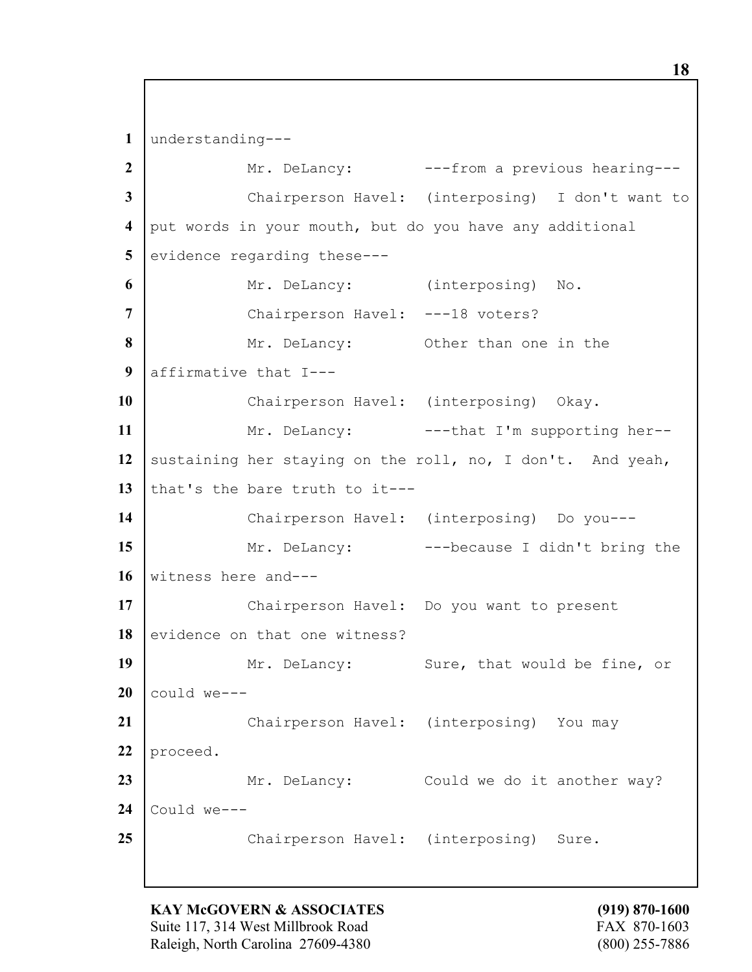**1** understanding---

 Mr. DeLancy: ---from a previous hearing--- Chairperson Havel: (interposing) I don't want to put words in your mouth, but do you have any additional evidence regarding these--- Mr. DeLancy: (interposing) No. 7 | Chairperson Havel: ---18 voters? Mr. DeLancy: Other than one in the affirmative that I---10 | Chairperson Havel: (interposing) Okay. 11 | Mr. DeLancy: ---that I'm supporting her--12 sustaining her staying on the roll, no, I don't. And yeah, that's the bare truth to it--- Chairperson Havel: (interposing) Do you--- 15 Mr. DeLancy: ---because I didn't bring the witness here and--- Chairperson Havel: Do you want to present 18 evidence on that one witness? 19 Mr. DeLancy: Sure, that would be fine, or could we--- Chairperson Havel: (interposing) You may 22 proceed. 23 Mr. DeLancy: Could we do it another way? Could we--- Chairperson Havel: (interposing) Sure.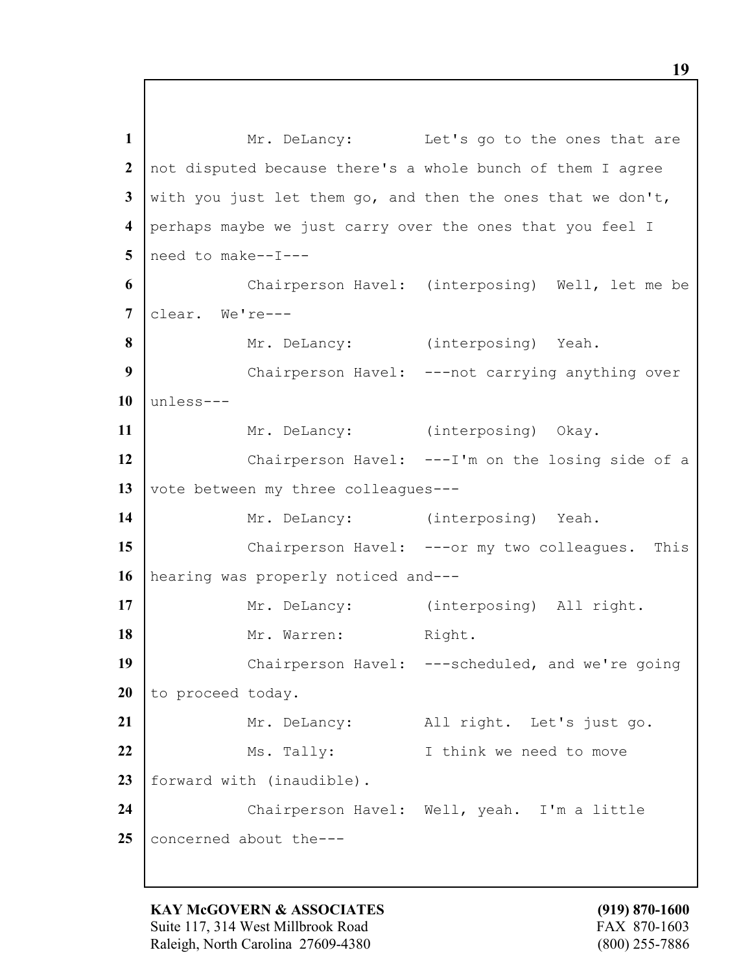1 Mr. DeLancy: Let's go to the ones that are **2** not disputed because there's a whole bunch of them I agree **3** with you just let them go, and then the ones that we don't, **4** perhaps maybe we just carry over the ones that you feel I **5** need to make--I--- **6** Chairperson Havel: (interposing) Well, let me be **7** clear. We're--- 8 Mr. DeLancy: (interposing) Yeah. **9** Chairperson Havel: ---not carrying anything over **10** unless--- 11 | Mr. DeLancy: (interposing) Okay. **12** Chairperson Havel: ---I'm on the losing side of a 13 vote between my three colleagues---14 | Mr. DeLancy: (interposing) Yeah. **15** Chairperson Havel: ---or my two colleagues. This **16** hearing was properly noticed and--- 17 | Mr. DeLancy: (interposing) All right. 18 | Mr. Warren: Right. 19 Chairperson Havel: ---scheduled, and we're going 20 to proceed today. 21 | Mr. DeLancy: All right. Let's just go. **22** Ms. Tally: I think we need to move 23 | forward with (inaudible). **24** Chairperson Havel: Well, yeah. I'm a little 25 concerned about the---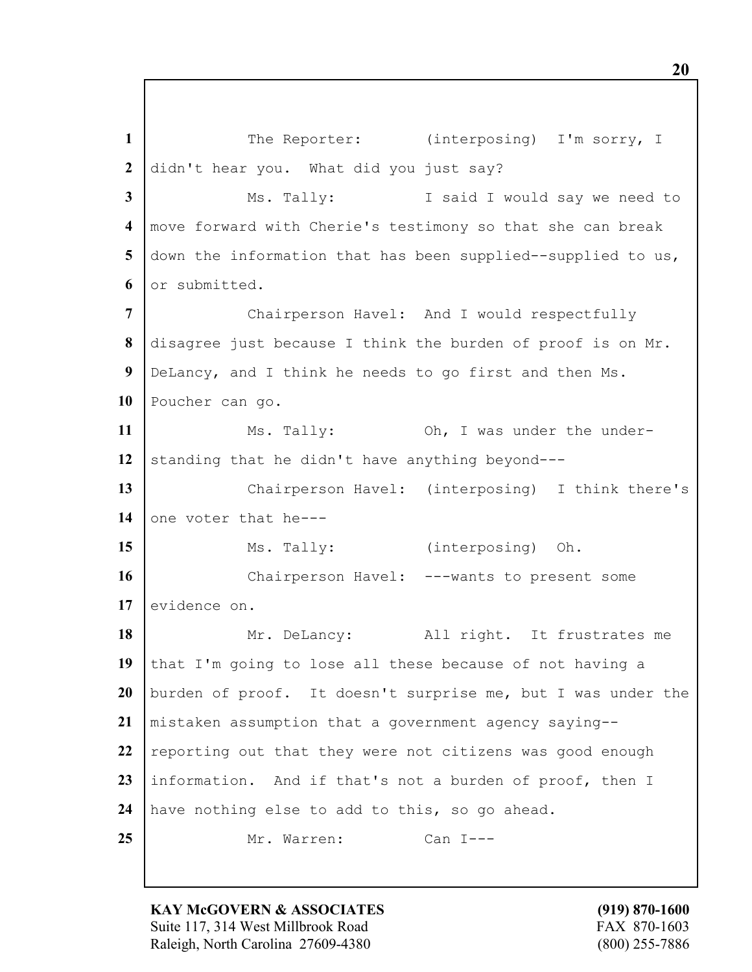1 The Reporter: (interposing) I'm sorry, I didn't hear you. What did you just say? Ms. Tally: I said I would say we need to move forward with Cherie's testimony so that she can break down the information that has been supplied--supplied to us, or submitted. Chairperson Havel: And I would respectfully disagree just because I think the burden of proof is on Mr. DeLancy, and I think he needs to go first and then Ms. Poucher can go. 11 Ms. Tally: 0h, I was under the under-12 standing that he didn't have anything beyond--- Chairperson Havel: (interposing) I think there's 14 one voter that he---15 Ms. Tally: (interposing) Oh. Chairperson Havel: ---wants to present some 17 evidence on. 18 Mr. DeLancy: All right. It frustrates me 19 that I'm going to lose all these because of not having a burden of proof. It doesn't surprise me, but I was under the mistaken assumption that a government agency saying-- 22 reporting out that they were not citizens was good enough information. And if that's not a burden of proof, then I have nothing else to add to this, so go ahead. Mr. Warren: Can I---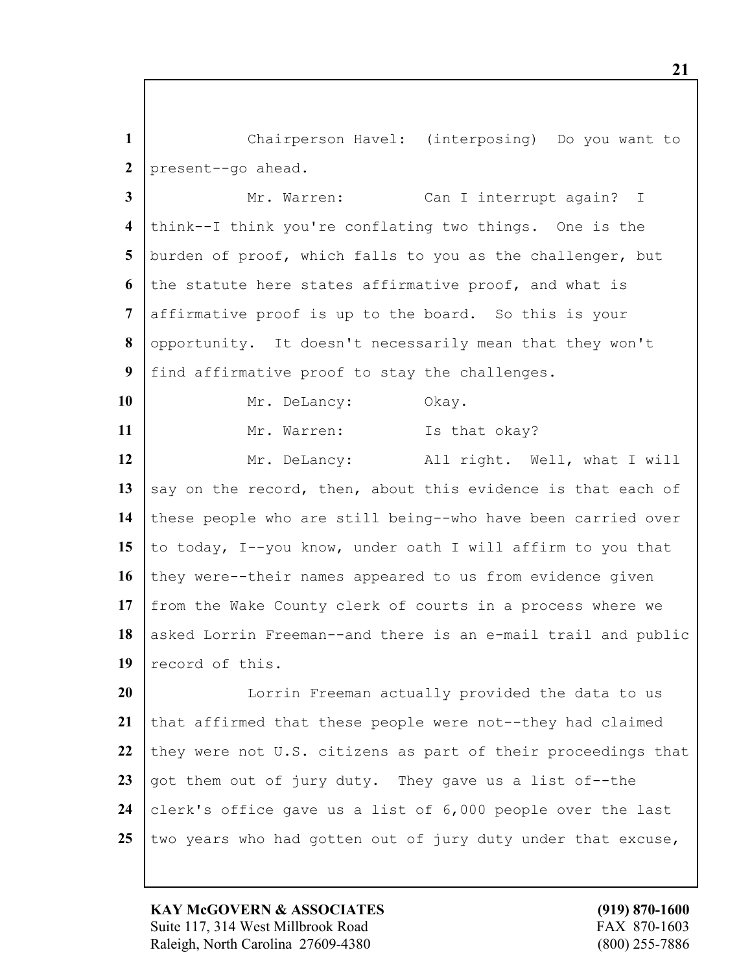**1** Chairperson Havel: (interposing) Do you want to **2** present--go ahead.

 Mr. Warren: Can I interrupt again? I think--I think you're conflating two things. One is the burden of proof, which falls to you as the challenger, but the statute here states affirmative proof, and what is affirmative proof is up to the board. So this is your opportunity. It doesn't necessarily mean that they won't find affirmative proof to stay the challenges.

10 Mr. DeLancy: Okay. 11 Mr. Warren: Is that okay? 12 Mr. DeLancy: All right. Well, what I will 13 say on the record, then, about this evidence is that each of **14** these people who are still being--who have been carried over **15** to today, I--you know, under oath I will affirm to you that 16 they were--their names appeared to us from evidence given **17** from the Wake County clerk of courts in a process where we 18 asked Lorrin Freeman--and there is an e-mail trail and public **19** record of this.

**20** I Lorrin Freeman actually provided the data to us 21 that affirmed that these people were not--they had claimed 22 they were not U.S. citizens as part of their proceedings that **23** got them out of jury duty. They gave us a list of--the 24 clerk's office gave us a list of 6,000 people over the last **25** two years who had gotten out of jury duty under that excuse,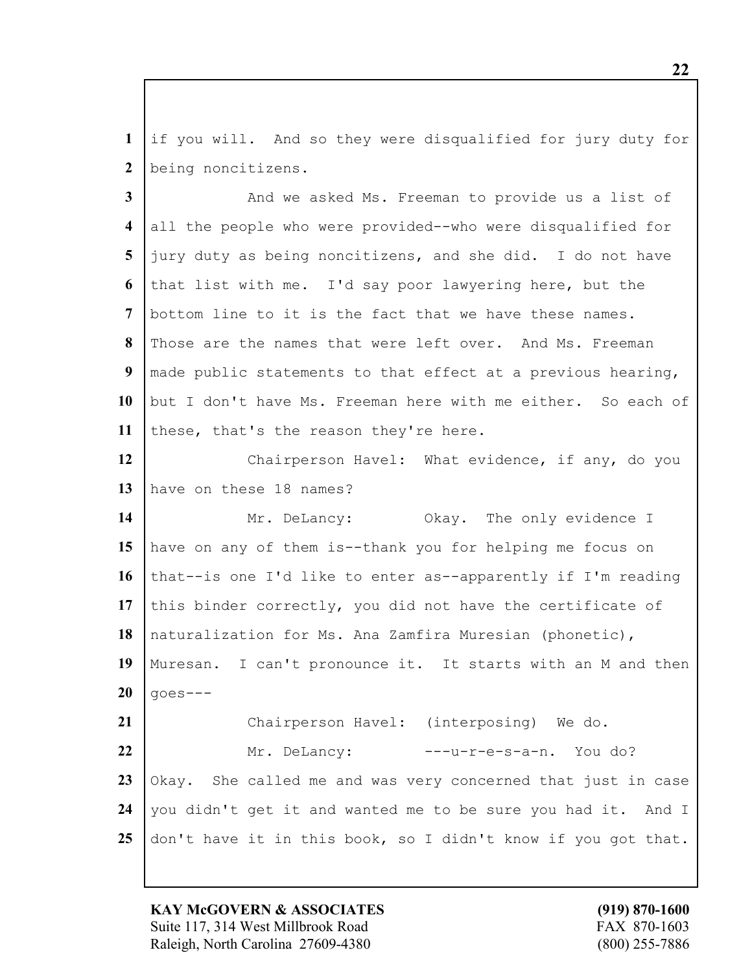if you will. And so they were disqualified for jury duty for being noncitizens.

 And we asked Ms. Freeman to provide us a list of all the people who were provided--who were disqualified for jury duty as being noncitizens, and she did. I do not have that list with me. I'd say poor lawyering here, but the bottom line to it is the fact that we have these names. Those are the names that were left over. And Ms. Freeman made public statements to that effect at a previous hearing, but I don't have Ms. Freeman here with me either. So each of 11 these, that's the reason they're here. Chairperson Havel: What evidence, if any, do you

have on these 18 names?

14 | Mr. DeLancy: Okay. The only evidence I have on any of them is--thank you for helping me focus on 16 that--is one I'd like to enter as--apparently if I'm reading this binder correctly, you did not have the certificate of naturalization for Ms. Ana Zamfira Muresian (phonetic), Muresan. I can't pronounce it. It starts with an M and then  $20 \mid \text{goes---}$  Chairperson Havel: (interposing) We do. Mr. DeLancy: ---u-r-e-s-a-n. You do? Okay. She called me and was very concerned that just in case

don't have it in this book, so I didn't know if you got that.

you didn't get it and wanted me to be sure you had it. And I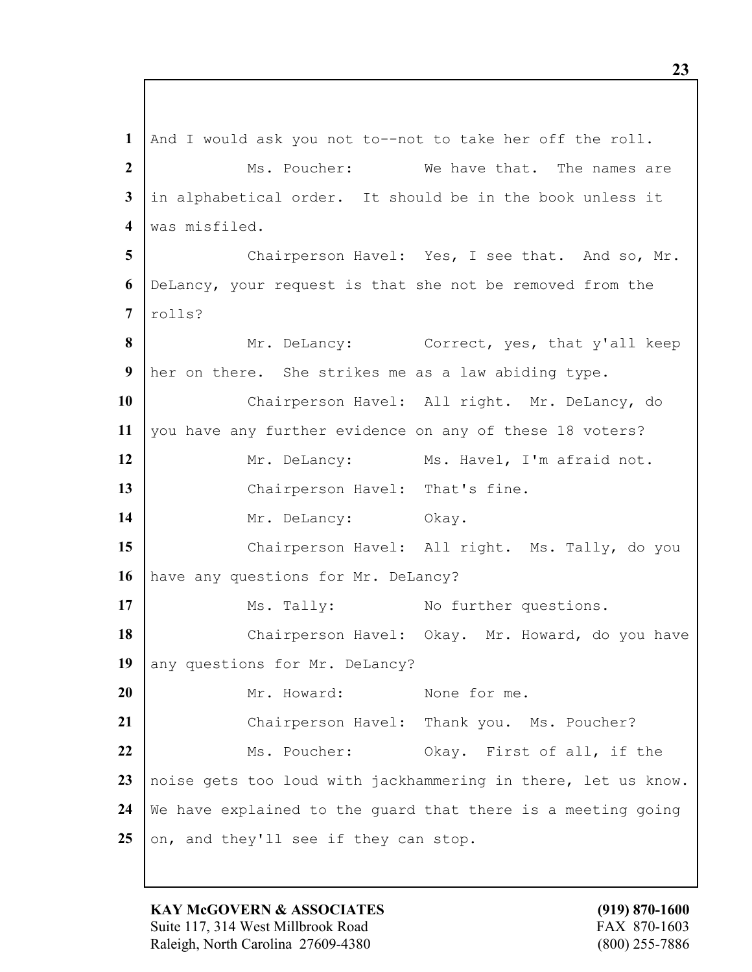**1** And I would ask you not to--not to take her off the roll. **2** Ms. Poucher: We have that. The names are **3** in alphabetical order. It should be in the book unless it **4** was misfiled. 5 Chairperson Havel: Yes, I see that. And so, Mr. **6** DeLancy, your request is that she not be removed from the **7** rolls? 8 Mr. DeLancy: Correct, yes, that y'all keep **9** her on there. She strikes me as a law abiding type. **10** Chairperson Havel: All right. Mr. DeLancy, do **11** you have any further evidence on any of these 18 voters? 12 | Mr. DeLancy: Ms. Havel, I'm afraid not. 13 Chairperson Havel: That's fine. 14 Mr. DeLancy: Okay. **15** Chairperson Havel: All right. Ms. Tally, do you 16 have any questions for Mr. DeLancy? 17 Ms. Tally: No further questions. 18 | Chairperson Havel: Okay. Mr. Howard, do you have 19 any questions for Mr. DeLancy? **20** Mr. Howard: None for me. **21** Chairperson Havel: Thank you. Ms. Poucher? 22 Ms. Poucher: Okay. First of all, if the **23** noise gets too loud with jackhammering in there, let us know. **24** We have explained to the guard that there is a meeting going 25 on, and they'll see if they can stop.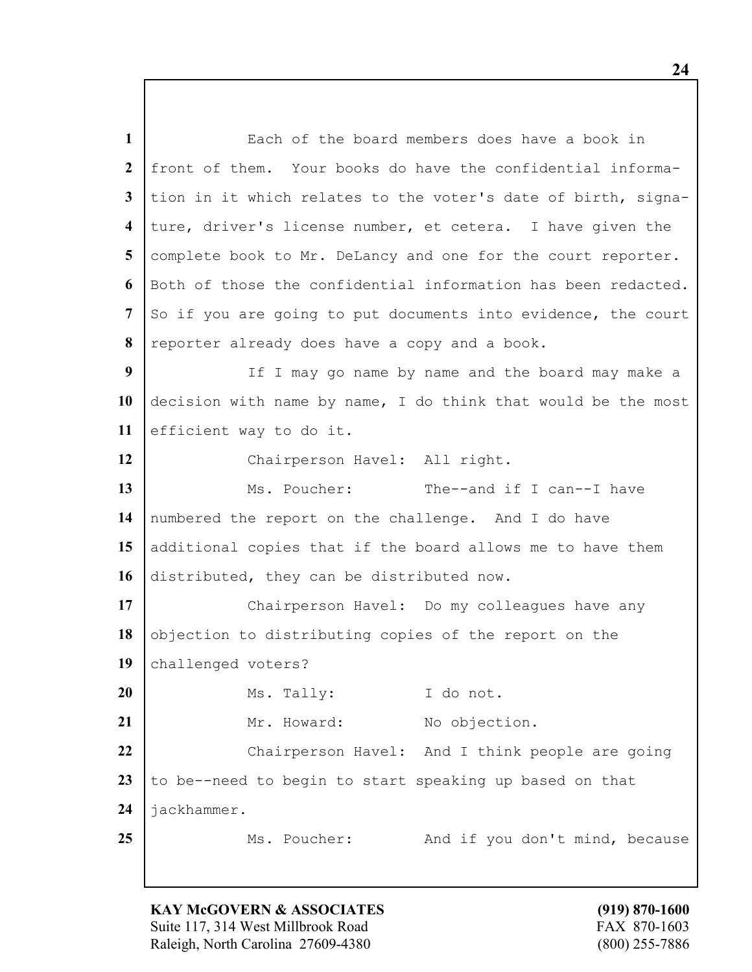Each of the board members does have a book in front of them. Your books do have the confidential informa- tion in it which relates to the voter's date of birth, signa- ture, driver's license number, et cetera. I have given the complete book to Mr. DeLancy and one for the court reporter. Both of those the confidential information has been redacted. So if you are going to put documents into evidence, the court reporter already does have a copy and a book. If I may go name by name and the board may make a decision with name by name, I do think that would be the most efficient way to do it. Chairperson Havel: All right. 13 Ms. Poucher: The--and if I can--I have numbered the report on the challenge. And I do have additional copies that if the board allows me to have them distributed, they can be distributed now. 17 | Chairperson Havel: Do my colleagues have any 18 objection to distributing copies of the report on the challenged voters? 20 Ms. Tally: I do not. 21 | Mr. Howard: No objection. 22 Chairperson Havel: And I think people are going 23 | to be--need to begin to start speaking up based on that jackhammer. 25 Ms. Poucher: And if you don't mind, because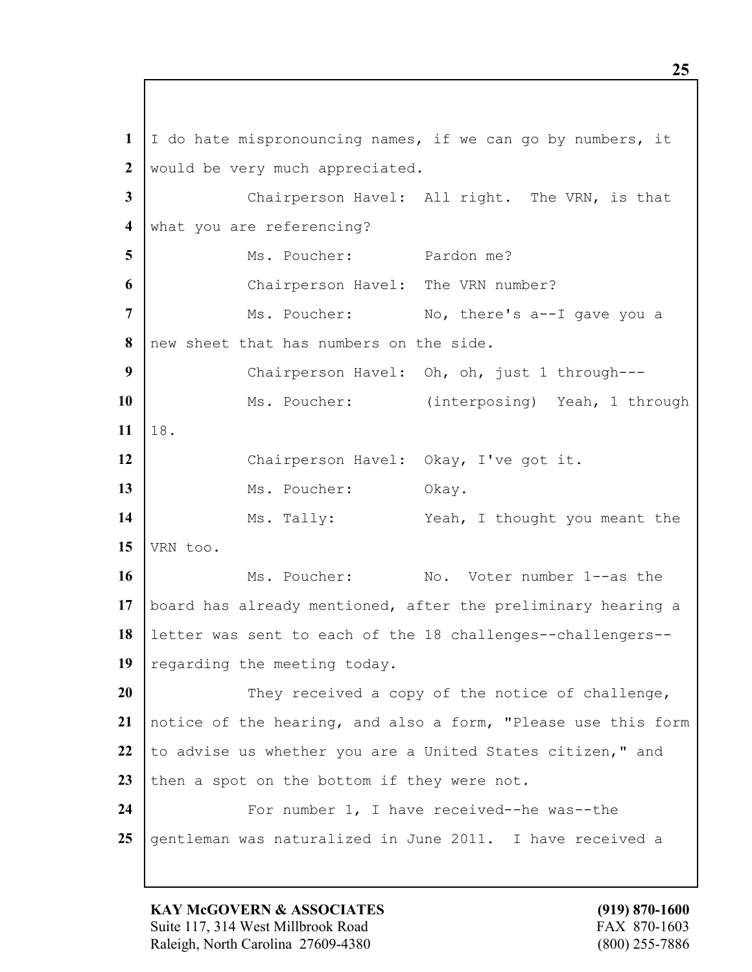**1** I do hate mispronouncing names, if we can go by numbers, it **2** would be very much appreciated. **3** Chairperson Havel: All right. The VRN, is that 4 what you are referencing? **5** Ms. Poucher: Pardon me? **6** Chairperson Havel: The VRN number? 7 | Ms. Poucher: No, there's a--I gave you a **8** new sheet that has numbers on the side. **9** Chairperson Havel: Oh, oh, just 1 through--- 10 | Ms. Poucher: (interposing) Yeah, 1 through **11** 18. **12** Chairperson Havel: Okay, I've got it. 13 Ms. Poucher: Okay. 14 Ms. Tally: Yeah, I thought you meant the **15** VRN too. **16** Ms. Poucher: No. Voter number 1--as the **17** board has already mentioned, after the preliminary hearing a **18** letter was sent to each of the 18 challenges--challengers-- 19 regarding the meeting today. **20** They received a copy of the notice of challenge, **21** notice of the hearing, and also a form, "Please use this form 22 to advise us whether you are a United States citizen," and 23 then a spot on the bottom if they were not. 24 | For number 1, I have received--he was--the 25 gentleman was naturalized in June 2011. I have received a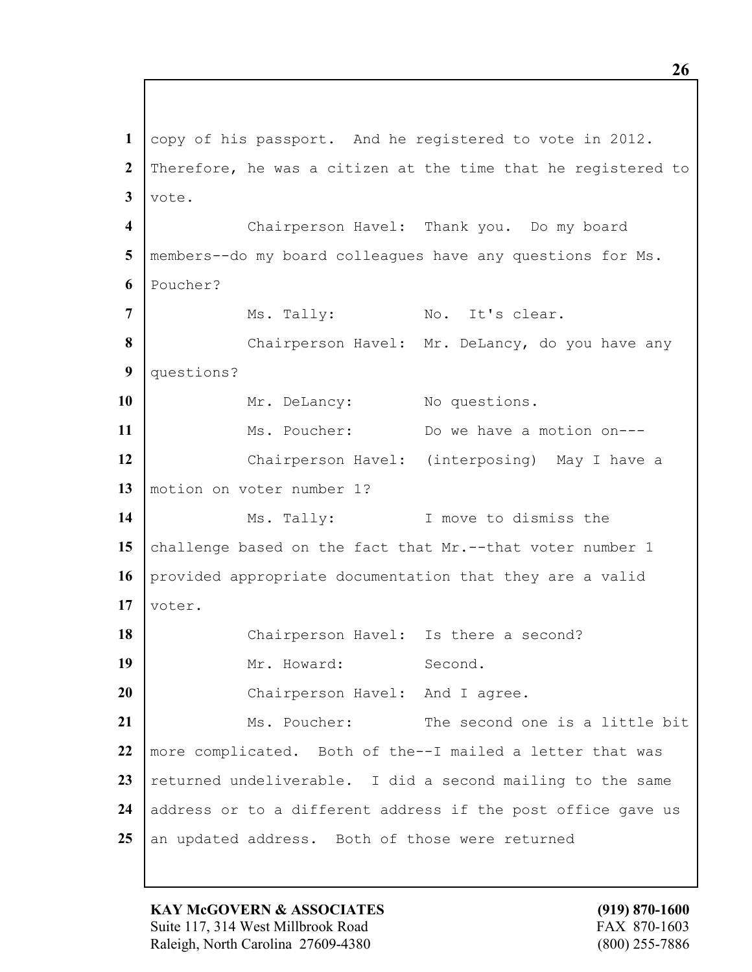**1** copy of his passport. And he registered to vote in 2012. **2** Therefore, he was a citizen at the time that he registered to  $3$  vote. **4** Chairperson Havel: Thank you. Do my board **5** members--do my board colleagues have any questions for Ms. **6** Poucher? 7 Ms. Tally: No. It's clear. 8 Chairperson Havel: Mr. DeLancy, do you have any **9** questions? 10 Mr. DeLancy: No questions. 11 Ms. Poucher: Do we have a motion on---**12** Chairperson Havel: (interposing) May I have a **13** motion on voter number 1? **14** Ms. Tally: I move to dismiss the 15 challenge based on the fact that Mr.--that voter number 1 **16** provided appropriate documentation that they are a valid **17** voter. 18 | Chairperson Havel: Is there a second? 19 Mr. Howard: Second. 20 | Chairperson Havel: And I agree. 21 Ms. Poucher: The second one is a little bit **22** more complicated. Both of the--I mailed a letter that was 23 returned undeliverable. I did a second mailing to the same 24 address or to a different address if the post office gave us 25 an updated address. Both of those were returned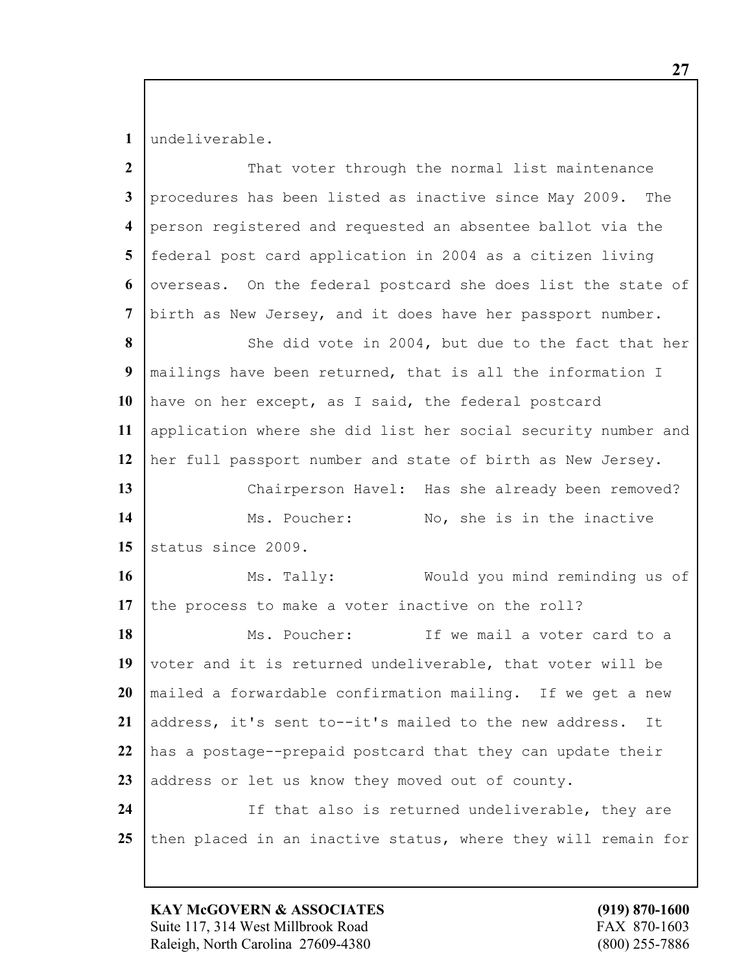1 undeliverable.

| $\overline{2}$          | That voter through the normal list maintenance                |
|-------------------------|---------------------------------------------------------------|
| $\mathbf{3}$            | procedures has been listed as inactive since May 2009. The    |
| $\overline{\mathbf{4}}$ | person registered and requested an absentee ballot via the    |
| $\overline{5}$          | federal post card application in 2004 as a citizen living     |
| 6                       | overseas. On the federal postcard she does list the state of  |
| $\overline{7}$          | birth as New Jersey, and it does have her passport number.    |
| 8                       | She did vote in 2004, but due to the fact that her            |
| 9                       | mailings have been returned, that is all the information I    |
| 10                      | have on her except, as I said, the federal postcard           |
| 11                      | application where she did list her social security number and |
| 12                      | her full passport number and state of birth as New Jersey.    |
| 13                      | Chairperson Havel: Has she already been removed?              |
| 14                      | Ms. Poucher:<br>No, she is in the inactive                    |
| 15                      | status since 2009.                                            |
| 16                      | Ms. Tally:<br>Would you mind reminding us of                  |
| 17                      | the process to make a voter inactive on the roll?             |
| 18                      | Ms. Poucher:<br>If we mail a voter card to a                  |
| 19                      | voter and it is returned undeliverable, that voter will be    |
| 20                      | mailed a forwardable confirmation mailing. If we get a new    |
| 21                      | address, it's sent to--it's mailed to the new address.<br>It  |
| 22                      | has a postage--prepaid postcard that they can update their    |
| 23                      | address or let us know they moved out of county.              |
| 24                      |                                                               |
|                         | If that also is returned undeliverable, they are              |

**KAY McGOVERN & ASSOCIATES** (919) 870-1600<br>Suite 117, 314 West Millbrook Road FAX 870-1603 Suite 117, 314 West Millbrook Road Raleigh, North Carolina 27609-4380 (800) 255-7886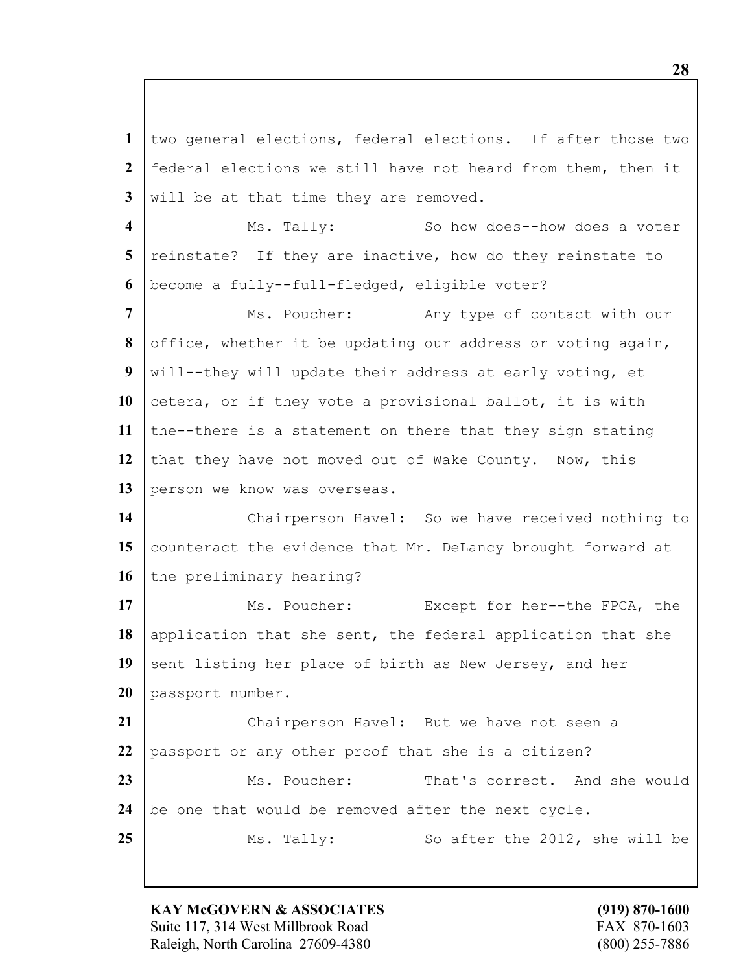two general elections, federal elections. If after those two federal elections we still have not heard from them, then it will be at that time they are removed.

 Ms. Tally: So how does--how does a voter reinstate? If they are inactive, how do they reinstate to become a fully--full-fledged, eligible voter?

 Ms. Poucher: Any type of contact with our office, whether it be updating our address or voting again, will--they will update their address at early voting, et 10 cetera, or if they vote a provisional ballot, it is with the--there is a statement on there that they sign stating that they have not moved out of Wake County. Now, this 13 person we know was overseas.

14 | Chairperson Havel: So we have received nothing to 15 counteract the evidence that Mr. DeLancy brought forward at the preliminary hearing?

17 Ms. Poucher: Except for her--the FPCA, the 18 application that she sent, the federal application that she 19 sent listing her place of birth as New Jersey, and her passport number.

 Chairperson Havel: But we have not seen a passport or any other proof that she is a citizen? 23 Ms. Poucher: That's correct. And she would be one that would be removed after the next cycle. Ms. Tally: So after the 2012, she will be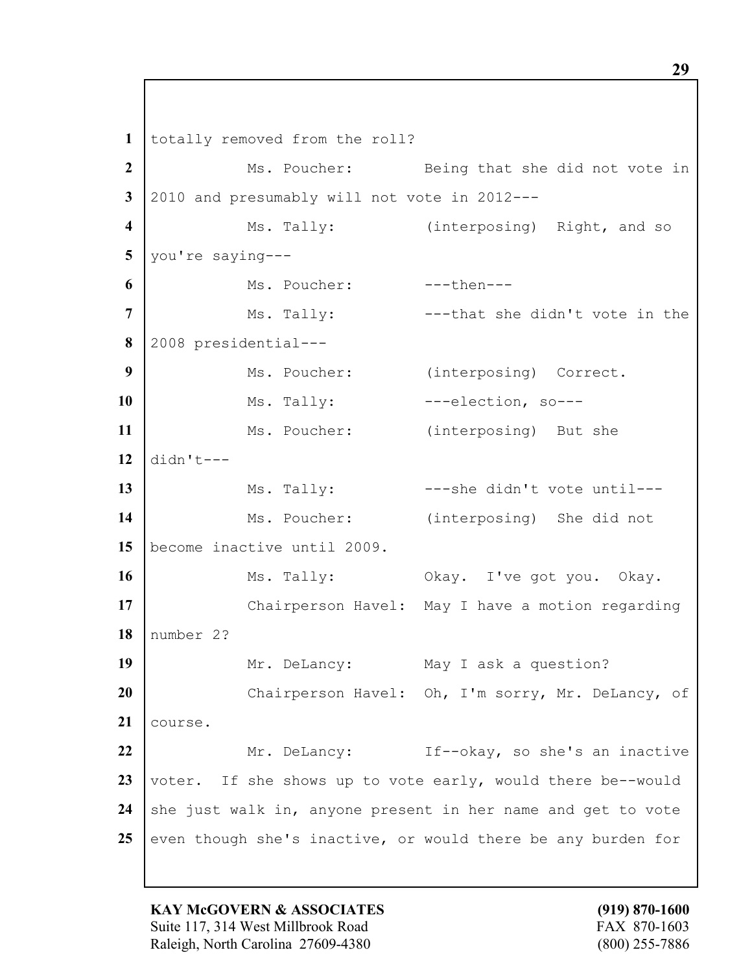totally removed from the roll? Ms. Poucher: Being that she did not vote in 2010 and presumably will not vote in 2012--- Ms. Tally: (interposing) Right, and so you're saying--- Ms. Poucher: ---then--- Ms. Tally: ---that she didn't vote in the 2008 presidential--- Ms. Poucher: (interposing) Correct. 10 | Ms. Tally: ---election, so--- Ms. Poucher: (interposing) But she didn't---13 Ms. Tally:  $--$ -she didn't vote until---14 Ms. Poucher: (interposing) She did not become inactive until 2009. 16 Ms. Tally: Okay. I've got you. Okay. 17 | Chairperson Havel: May I have a motion regarding number 2? 19 Mr. DeLancy: May I ask a question? Chairperson Havel: Oh, I'm sorry, Mr. DeLancy, of 21 | course. Mr. DeLancy: If--okay, so she's an inactive 23 voter. If she shows up to vote early, would there be--would 24 she just walk in, anyone present in her name and get to vote even though she's inactive, or would there be any burden for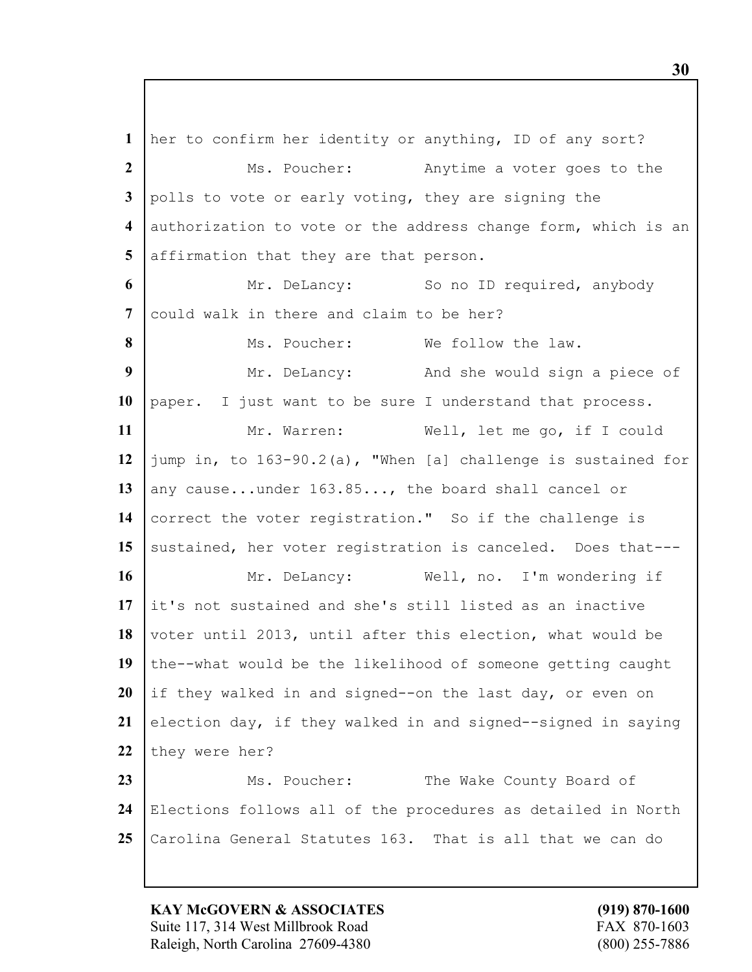her to confirm her identity or anything, ID of any sort? Ms. Poucher: Anytime a voter goes to the polls to vote or early voting, they are signing the authorization to vote or the address change form, which is an affirmation that they are that person. Mr. DeLancy: So no ID required, anybody could walk in there and claim to be her? Ms. Poucher: We follow the law. Mr. DeLancy: And she would sign a piece of paper. I just want to be sure I understand that process. 11 Mr. Warren: Well, let me go, if I could jump in, to 163-90.2(a), "When [a] challenge is sustained for 13 any cause...under 163.85..., the board shall cancel or correct the voter registration." So if the challenge is 15 sustained, her voter registration is canceled. Does that--- Mr. DeLancy: Well, no. I'm wondering if it's not sustained and she's still listed as an inactive 18 voter until 2013, until after this election, what would be the--what would be the likelihood of someone getting caught if they walked in and signed--on the last day, or even on 21 election day, if they walked in and signed--signed in saying 22 they were her? 23 Ms. Poucher: The Wake County Board of Elections follows all of the procedures as detailed in North Carolina General Statutes 163. That is all that we can do

**KAY McGOVERN & ASSOCIATES (919) 870-1600** Suite 117, 314 West Millbrook Road FAX 870-1603 Raleigh, North Carolina 27609-4380 (800) 255-7886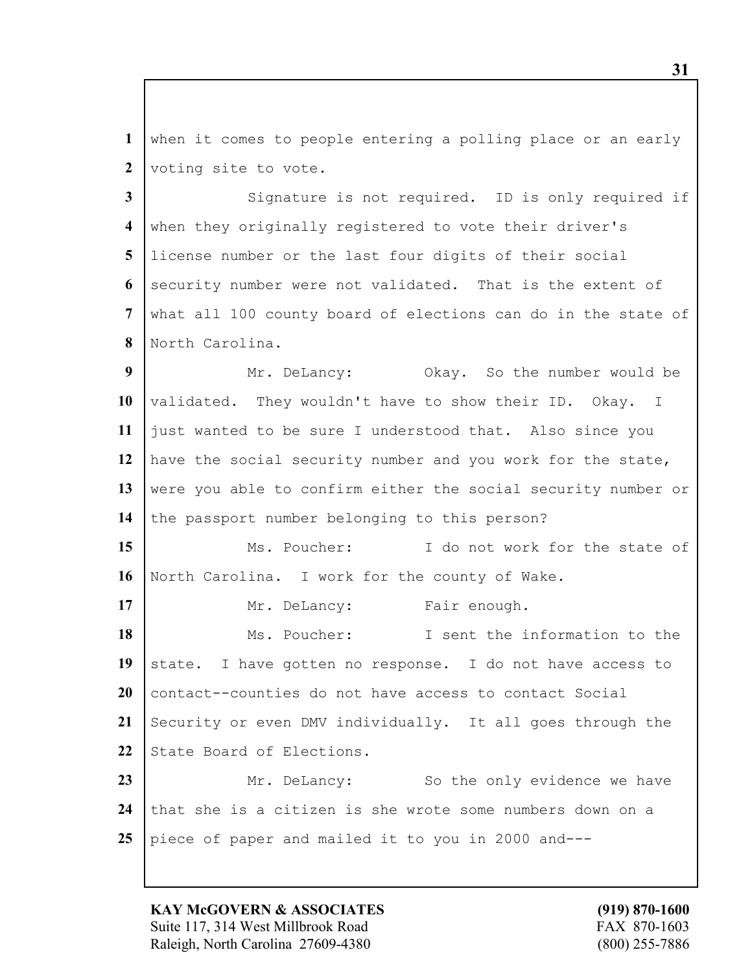when it comes to people entering a polling place or an early 2 voting site to vote.

 Signature is not required. ID is only required if when they originally registered to vote their driver's license number or the last four digits of their social security number were not validated. That is the extent of what all 100 county board of elections can do in the state of North Carolina.

 Mr. DeLancy: Okay. So the number would be validated. They wouldn't have to show their ID. Okay. I just wanted to be sure I understood that. Also since you have the social security number and you work for the state, 13 were you able to confirm either the social security number or 14 the passport number belonging to this person?

15 Ms. Poucher: I do not work for the state of North Carolina. I work for the county of Wake.

17 Mr. DeLancy: Fair enough. Ms. Poucher: I sent the information to the 19 state. I have gotten no response. I do not have access to contact--counties do not have access to contact Social 21 Security or even DMV individually. It all goes through the 22 State Board of Elections. Mr. DeLancy: So the only evidence we have

 that she is a citizen is she wrote some numbers down on a piece of paper and mailed it to you in 2000 and---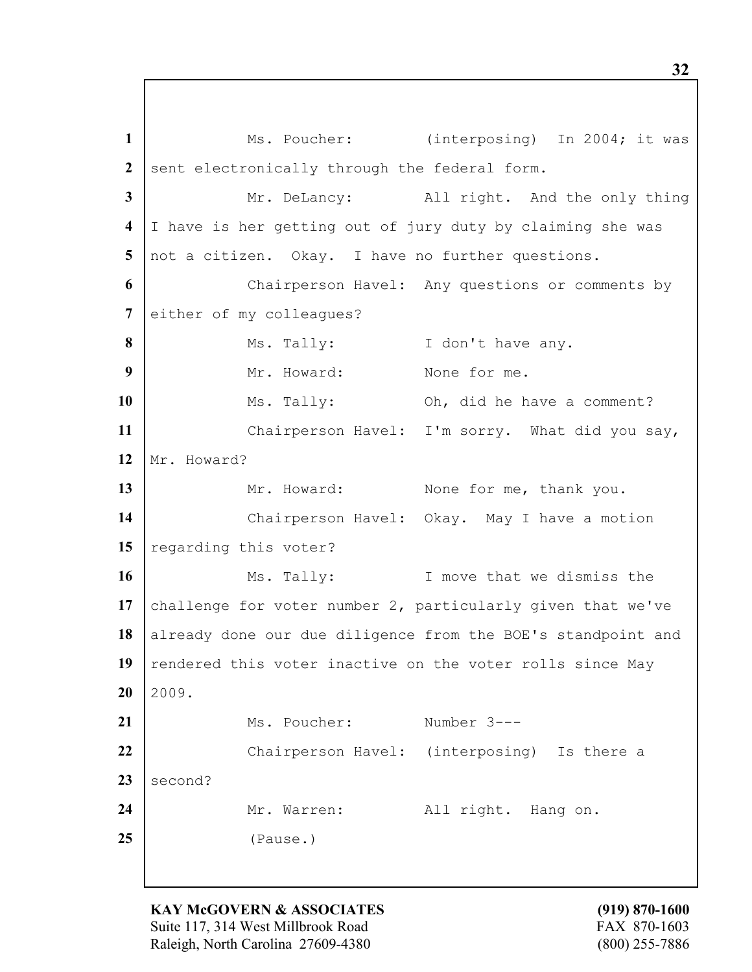1 | Ms. Poucher: (interposing) In 2004; it was 2 sent electronically through the federal form. **3** Mr. DeLancy: All right. And the only thing **4** I have is her getting out of jury duty by claiming she was **5** not a citizen. Okay. I have no further questions. **6** Chairperson Havel: Any questions or comments by 7 either of my colleagues? **8** Ms. Tally: I don't have any. **9** Mr. Howard: None for me. **10** Ms. Tally: Oh, did he have a comment? **11** Chairperson Havel: I'm sorry. What did you say, 12 Mr. Howard? 13 Mr. Howard: None for me, thank you. 14 | Chairperson Havel: Okay. May I have a motion 15 regarding this voter? **16** Ms. Tally: I move that we dismiss the **17** challenge for voter number 2, particularly given that we've 18 already done our due diligence from the BOE's standpoint and 19 rendered this voter inactive on the voter rolls since May  $20 \mid 2009$ . 21 Ms. Poucher: Number 3---**22** Chairperson Havel: (interposing) Is there a  $23$  second? 24 | Mr. Warren: All right. Hang on. **25** (Pause.)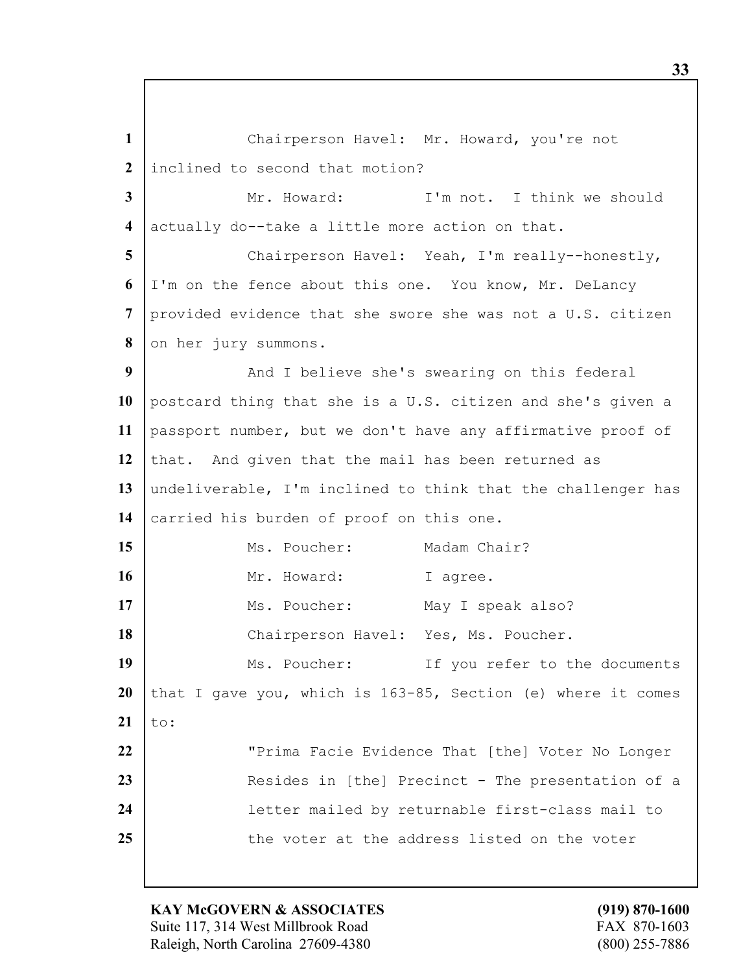**1** Chairperson Havel: Mr. Howard, you're not **2** inclined to second that motion? **3** Mr. Howard: I'm not. I think we should **4** actually do--take a little more action on that. **5** Chairperson Havel: Yeah, I'm really--honestly, **6** I'm on the fence about this one. You know, Mr. DeLancy **7** provided evidence that she swore she was not a U.S. citizen 8 on her jury summons. **9** And I believe she's swearing on this federal **10** postcard thing that she is a U.S. citizen and she's given a **11** passport number, but we don't have any affirmative proof of 12 that. And given that the mail has been returned as **13** undeliverable, I'm inclined to think that the challenger has 14 carried his burden of proof on this one. 15 Ms. Poucher: Madam Chair? 16 | Mr. Howard: I agree. 17 | Ms. Poucher: May I speak also? 18 | Chairperson Havel: Yes, Ms. Poucher. 19 Ms. Poucher: If you refer to the documents **20** that I gave you, which is 163-85, Section (e) where it comes  $21$  | to: 22 **The Studence That** [the] Voter No Longer **23** Resides in [the] Precinct - The presentation of a **24** letter mailed by returnable first-class mail to 25 the voter at the address listed on the voter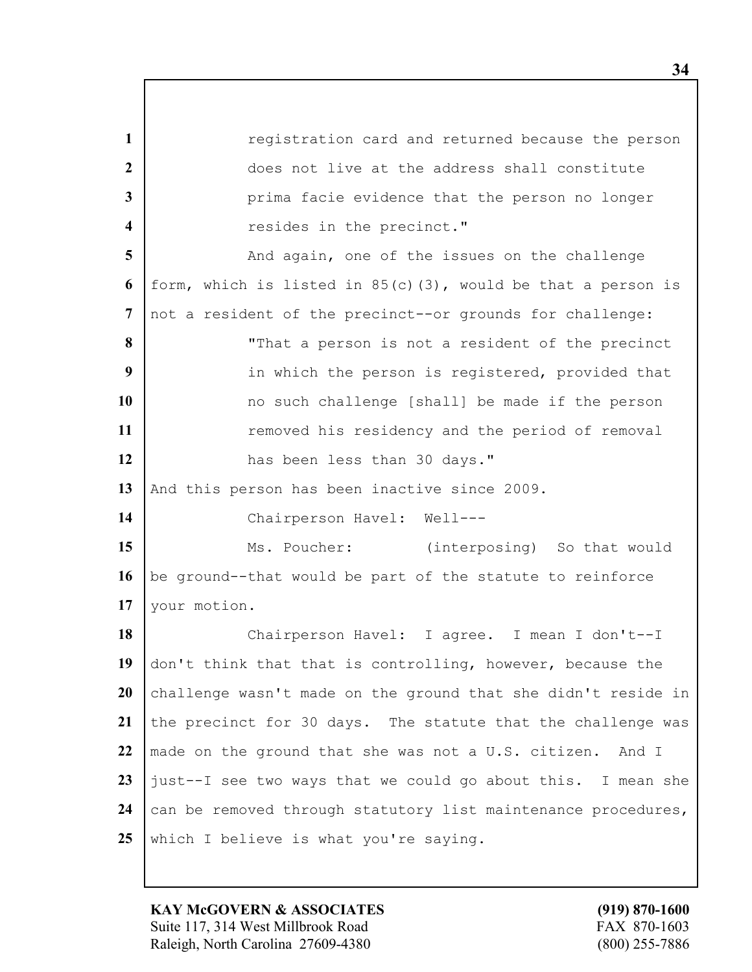**1** *registration card and returned because the person*  does not live at the address shall constitute **prima facie evidence that the person no longer example 1 resides** in the precinct." And again, one of the issues on the challenge form, which is listed in 85(c)(3), would be that a person is not a resident of the precinct--or grounds for challenge: "That a person is not a resident of the precinct in which the person is registered, provided that no such challenge [shall] be made if the person **1 11 removed his residency and the period of removal** 12 has been less than 30 days." 13 And this person has been inactive since 2009. Chairperson Havel: Well--- Ms. Poucher: (interposing) So that would be ground--that would be part of the statute to reinforce your motion. Chairperson Havel: I agree. I mean I don't--I don't think that that is controlling, however, because the 20 challenge wasn't made on the ground that she didn't reside in 21 the precinct for 30 days. The statute that the challenge was made on the ground that she was not a U.S. citizen. And I just--I see two ways that we could go about this. I mean she 24 can be removed through statutory list maintenance procedures, 25 which I believe is what you're saying.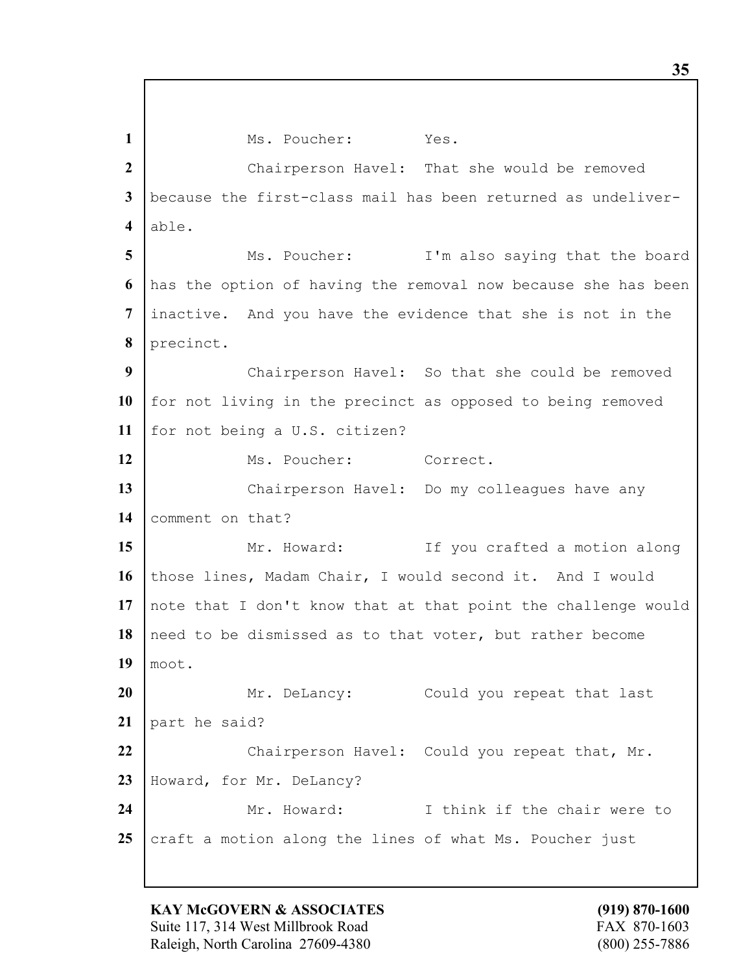1 Ms. Poucher: Yes. 2 | Chairperson Havel: That she would be removed because the first-class mail has been returned as undeliver- able. Ms. Poucher: I'm also saying that the board has the option of having the removal now because she has been inactive. And you have the evidence that she is not in the precinct. Chairperson Havel: So that she could be removed for not living in the precinct as opposed to being removed for not being a U.S. citizen? 12 Ms. Poucher: Correct. 13 Chairperson Havel: Do my colleagues have any comment on that? Mr. Howard: If you crafted a motion along 16 those lines, Madam Chair, I would second it. And I would note that I don't know that at that point the challenge would need to be dismissed as to that voter, but rather become moot. Mr. DeLancy: Could you repeat that last part he said? 22 Chairperson Havel: Could you repeat that, Mr. Howard, for Mr. DeLancy? Mr. Howard: I think if the chair were to 25 craft a motion along the lines of what Ms. Poucher just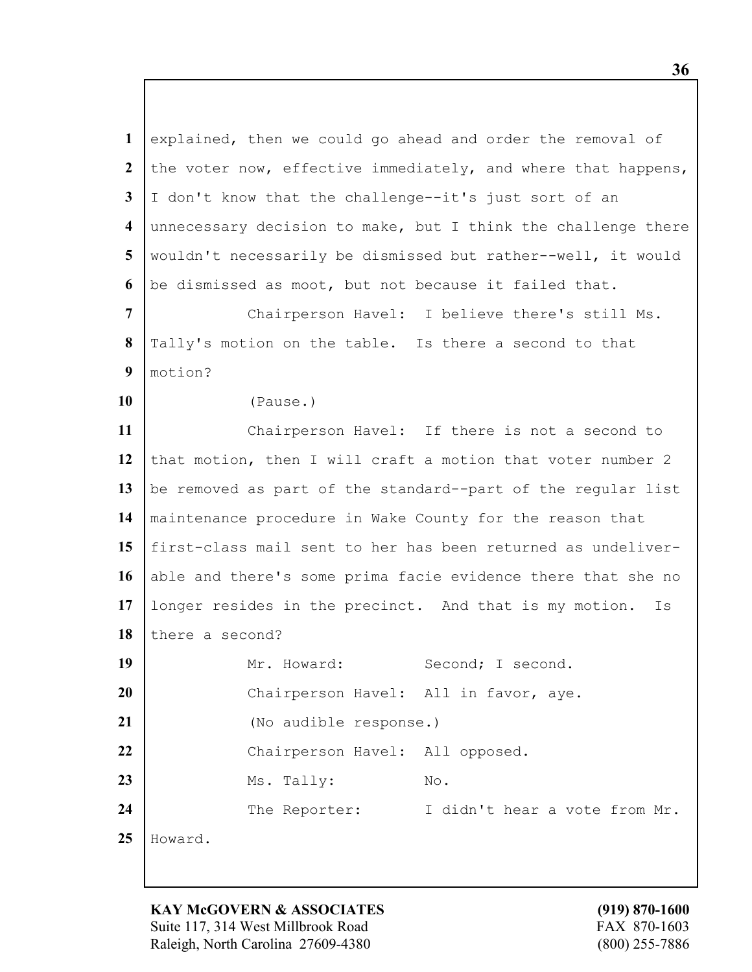explained, then we could go ahead and order the removal of 2 the voter now, effective immediately, and where that happens, I don't know that the challenge--it's just sort of an unnecessary decision to make, but I think the challenge there wouldn't necessarily be dismissed but rather--well, it would be dismissed as moot, but not because it failed that.

**7** Chairperson Havel: I believe there's still Ms. **8** Tally's motion on the table. Is there a second to that **9** motion?

**10** (Pause.)

**11** Chairperson Havel: If there is not a second to 12 that motion, then I will craft a motion that voter number 2 13 be removed as part of the standard--part of the regular list **14** maintenance procedure in Wake County for the reason that **15** first-class mail sent to her has been returned as undeliver-16 able and there's some prima facie evidence there that she no **17** longer resides in the precinct. And that is my motion. Is 18 there a second? 19 | Mr. Howard: Second; I second. 20 | Chairperson Havel: All in favor, aye. **21** (No audible response.) 22 Chairperson Havel: All opposed. **23** Ms. Tally: No. 24 | The Reporter: I didn't hear a vote from Mr.

**25** Howard.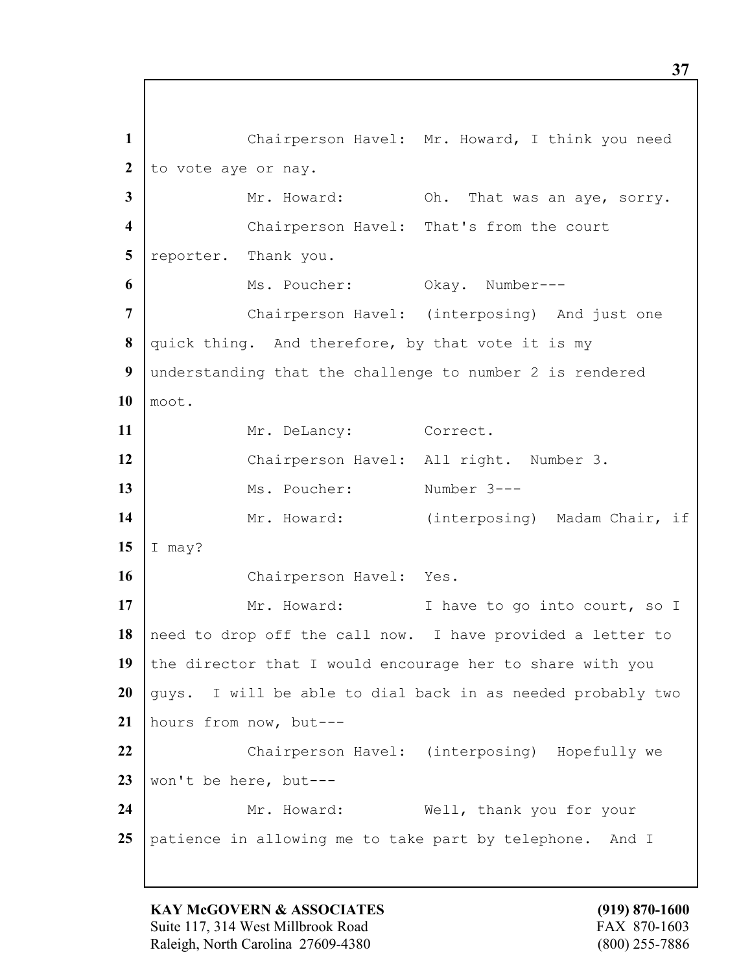**1** Chairperson Havel: Mr. Howard, I think you need 2 to vote aye or nay. **3** Mr. Howard: Oh. That was an aye, sorry. **4** Chairperson Havel: That's from the court 5 reporter. Thank you. **6** Ms. Poucher: Okay. Number---**7** Chairperson Havel: (interposing) And just one **8** quick thing. And therefore, by that vote it is my **9** understanding that the challenge to number 2 is rendered **10** moot. 11 Mr. DeLancy: Correct. **12** Chairperson Havel: All right. Number 3. **13** Ms. Poucher: Number 3---14 Mr. Howard: (interposing) Madam Chair, if **15** I may? 16 Chairperson Havel: Yes. 17 Mr. Howard: I have to go into court, so I **18** need to drop off the call now. I have provided a letter to 19 the director that I would encourage her to share with you **20** guys. I will be able to dial back in as needed probably two **21** hours from now, but--- 22 Chairperson Havel: (interposing) Hopefully we **23** won't be here, but--- 24 | Mr. Howard: Well, thank you for your **25** patience in allowing me to take part by telephone. And I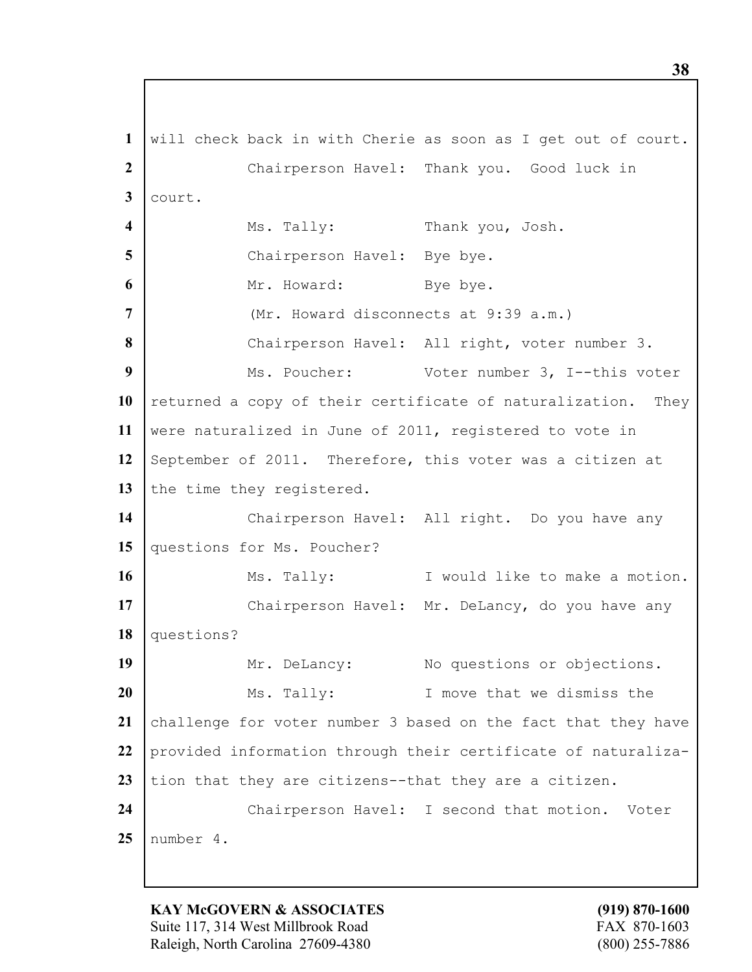**1** will check back in with Cherie as soon as I get out of court. **2** Chairperson Havel: Thank you. Good luck in **3** court. **4** Ms. Tally: Thank you, Josh. **5** Chairperson Havel: Bye bye. **6** Mr. Howard: Bye bye. **7** (Mr. Howard disconnects at 9:39 a.m.) 8 Chairperson Havel: All right, voter number 3. **9** Ms. Poucher: Voter number 3, I--this voter 10 returned a copy of their certificate of naturalization. They **11** were naturalized in June of 2011, registered to vote in 12 September of 2011. Therefore, this voter was a citizen at 13 the time they registered. 14 | Chairperson Havel: All right. Do you have any 15 questions for Ms. Poucher? **16** Ms. Tally: I would like to make a motion. 17 | Chairperson Havel: Mr. DeLancy, do you have any **18** questions? 19 | Mr. DeLancy: No questions or objections. **20** Ms. Tally: I move that we dismiss the 21 challenge for voter number 3 based on the fact that they have **22** provided information through their certificate of naturaliza-23 tion that they are citizens--that they are a citizen. 24 | Chairperson Havel: I second that motion. Voter **25** number 4.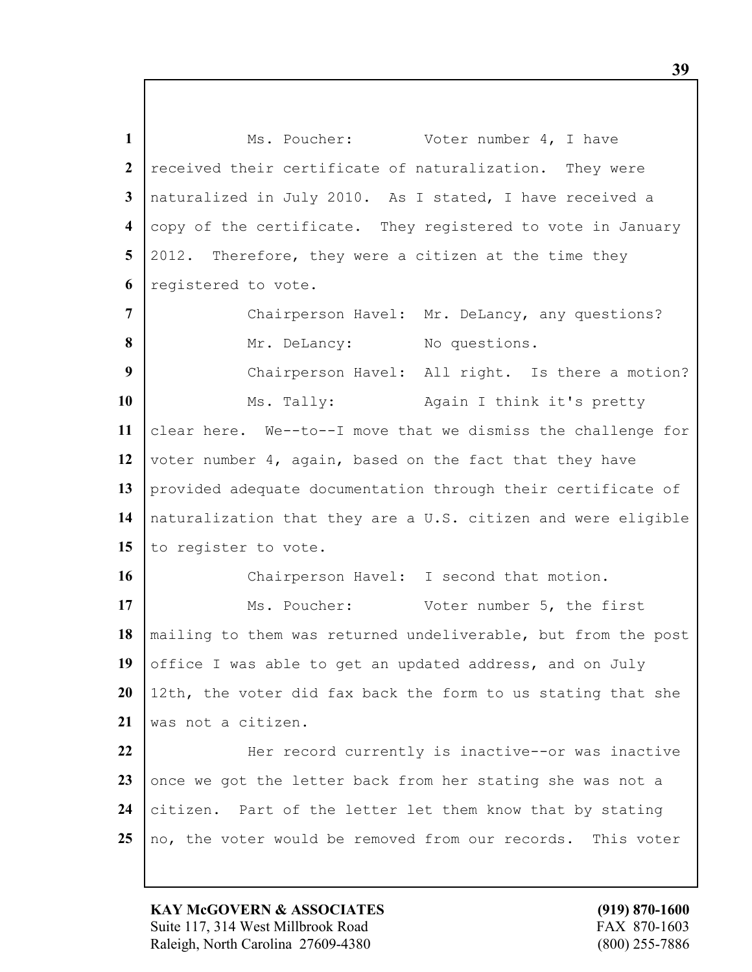1 Ms. Poucher: Voter number 4, I have 2 received their certificate of naturalization. They were **3** naturalized in July 2010. As I stated, I have received a **4** copy of the certificate. They registered to vote in January **5** 2012. Therefore, they were a citizen at the time they **6** registered to vote. 7 Chairperson Havel: Mr. DeLancy, any questions? 8 Mr. DeLancy: No questions. **9** Chairperson Havel: All right. Is there a motion? 10 | Ms. Tally: Again I think it's pretty **11** clear here. We--to--I move that we dismiss the challenge for **12** voter number 4, again, based on the fact that they have **13** provided adequate documentation through their certificate of **14** naturalization that they are a U.S. citizen and were eligible 15 to register to vote. 16 Chairperson Havel: I second that motion. 17 Ms. Poucher: Voter number 5, the first **18** mailing to them was returned undeliverable, but from the post 19 office I was able to get an updated address, and on July **20** 12th, the voter did fax back the form to us stating that she **21** was not a citizen. 22 **Her record currently is inactive--or was inactive** 23 once we got the letter back from her stating she was not a 24 citizen. Part of the letter let them know that by stating

25 no, the voter would be removed from our records. This voter

**KAY McGOVERN & ASSOCIATES (919) 870-1600** Suite 117, 314 West Millbrook Road FAX 870-1603 Raleigh, North Carolina 27609-4380 (800) 255-7886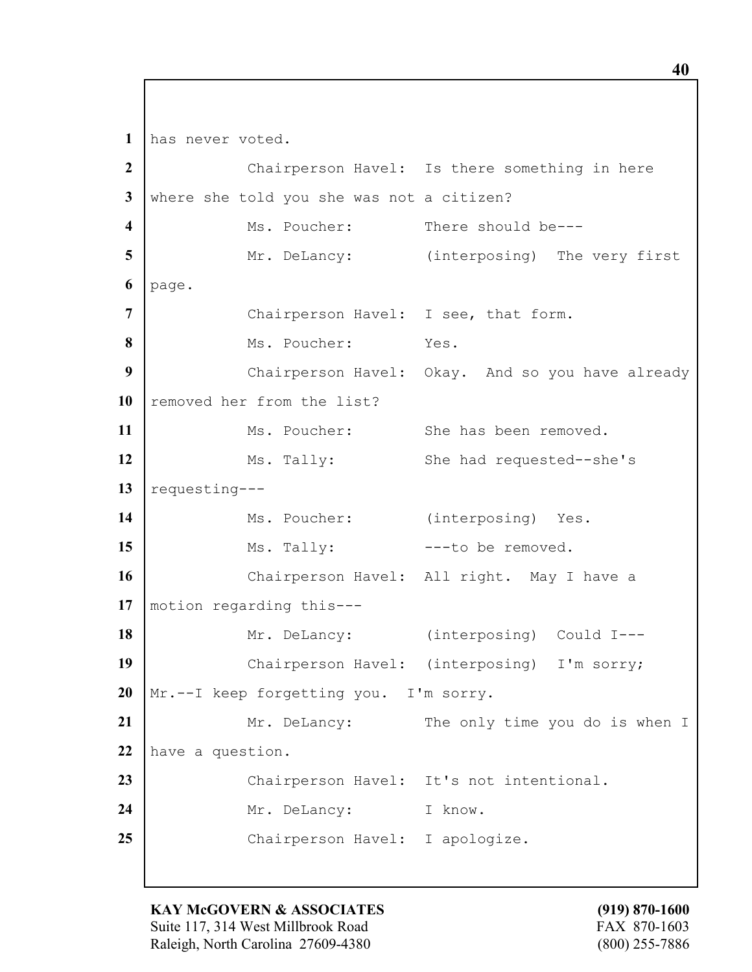**1** has never voted. 2 Chairperson Havel: Is there something in here **3** where she told you she was not a citizen? **4** Ms. Poucher: There should be---**5** Mr. DeLancy: (interposing) The very first **6** page. **7** Chairperson Havel: I see, that form. **8** Ms. Poucher: Yes. **9** Chairperson Havel: Okay. And so you have already 10 removed her from the list? 11 Ms. Poucher: She has been removed. 12 Ms. Tally: She had requested--she's 13 | requesting---14 | Ms. Poucher: (interposing) Yes. 15 Ms. Tally:  $--$  to be removed. **16** Chairperson Havel: All right. May I have a **17** motion regarding this--- 18 Mr. DeLancy: (interposing) Could I---19 | Chairperson Havel: (interposing) I'm sorry; **20** Mr.--I keep forgetting you. I'm sorry. 21 | Mr. DeLancy: The only time you do is when I **22** have a question. 23 Chairperson Havel: It's not intentional. 24 Mr. DeLancy: I know. 25 Chairperson Havel: I apologize.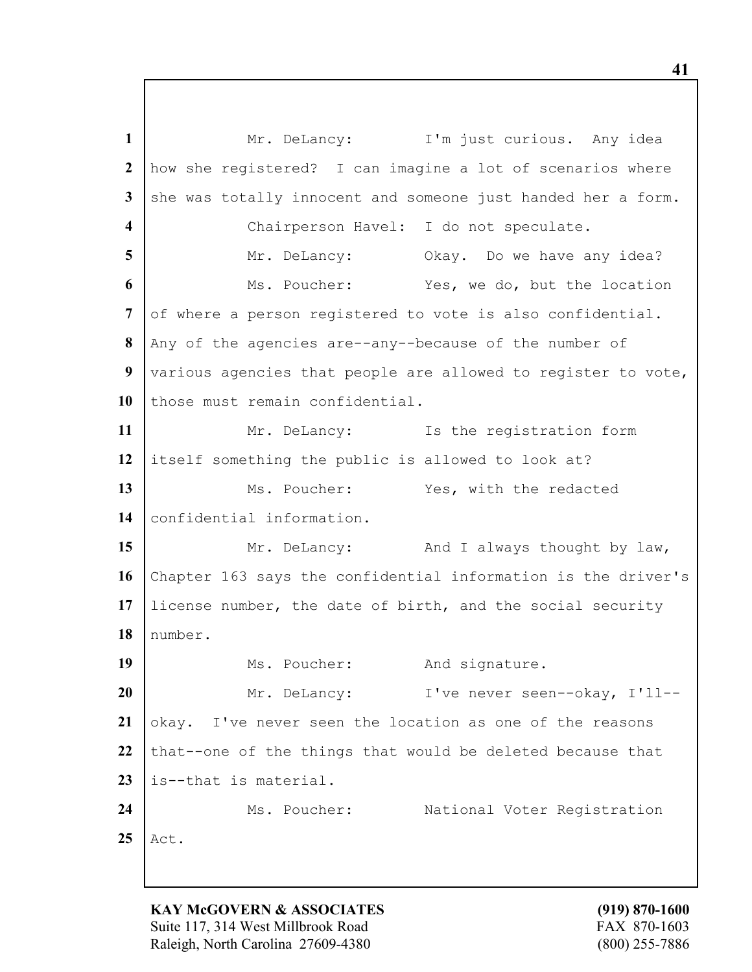1 Mr. DeLancy: I'm just curious. Any idea **2** how she registered? I can imagine a lot of scenarios where **3** she was totally innocent and someone just handed her a form. **4** Chairperson Havel: I do not speculate. **5** Mr. DeLancy: Okay. Do we have any idea? **6** Ms. Poucher: Yes, we do, but the location 7 of where a person registered to vote is also confidential. **8** Any of the agencies are--any--because of the number of **9** various agencies that people are allowed to register to vote, 10 those must remain confidential. 11 Mr. DeLancy: Is the registration form **12** itself something the public is allowed to look at? 13 Ms. Poucher: Yes, with the redacted 14 confidential information. **15** Mr. DeLancy: And I always thought by law, **16** Chapter 163 says the confidential information is the driver's **17** license number, the date of birth, and the social security **18** number. 19 Ms. Poucher: And signature. **20** Mr. DeLancy: I've never seen--okay, I'll--21 okay. I've never seen the location as one of the reasons 22 that--one of the things that would be deleted because that **23** is--that is material. 24 | Ms. Poucher: National Voter Registration **25** Act.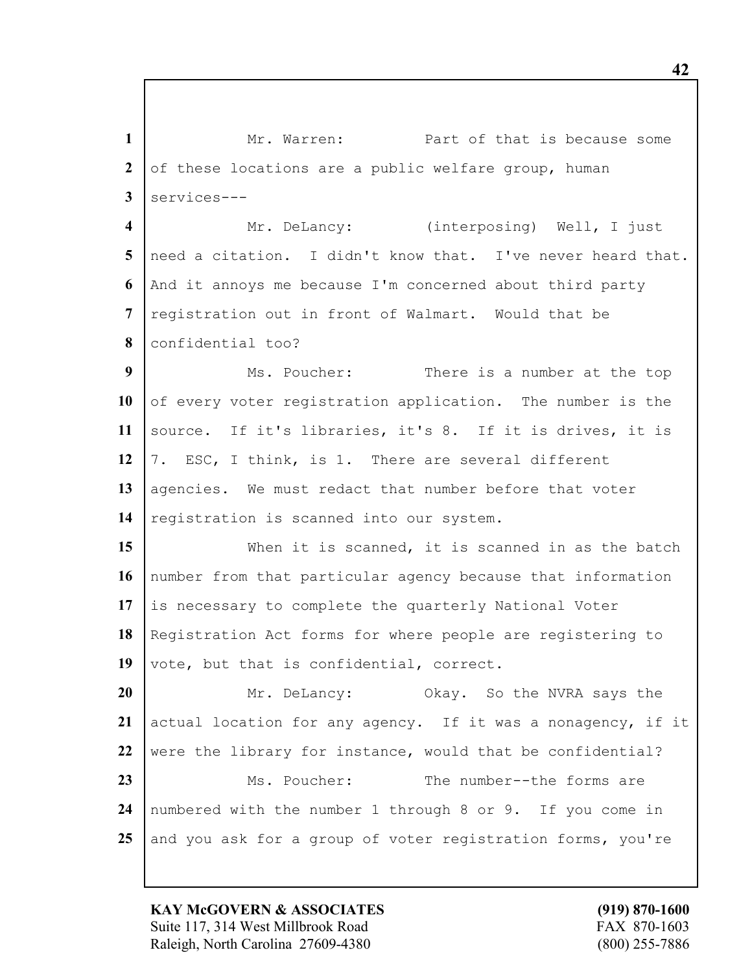1 Mr. Warren: Part of that is because some 2 of these locations are a public welfare group, human services--- Mr. DeLancy: (interposing) Well, I just need a citation. I didn't know that. I've never heard that. And it annoys me because I'm concerned about third party registration out in front of Walmart. Would that be confidential too? Ms. Poucher: There is a number at the top 10 of every voter registration application. The number is the source. If it's libraries, it's 8. If it is drives, it is 7. ESC, I think, is 1. There are several different 13 agencies. We must redact that number before that voter 14 | registration is scanned into our system. 15 When it is scanned, it is scanned in as the batch number from that particular agency because that information is necessary to complete the quarterly National Voter

 Registration Act forms for where people are registering to 19 vote, but that is confidential, correct.

 Mr. DeLancy: Okay. So the NVRA says the actual location for any agency. If it was a nonagency, if it 22 were the library for instance, would that be confidential? Ms. Poucher: The number--the forms are numbered with the number 1 through 8 or 9. If you come in and you ask for a group of voter registration forms, you're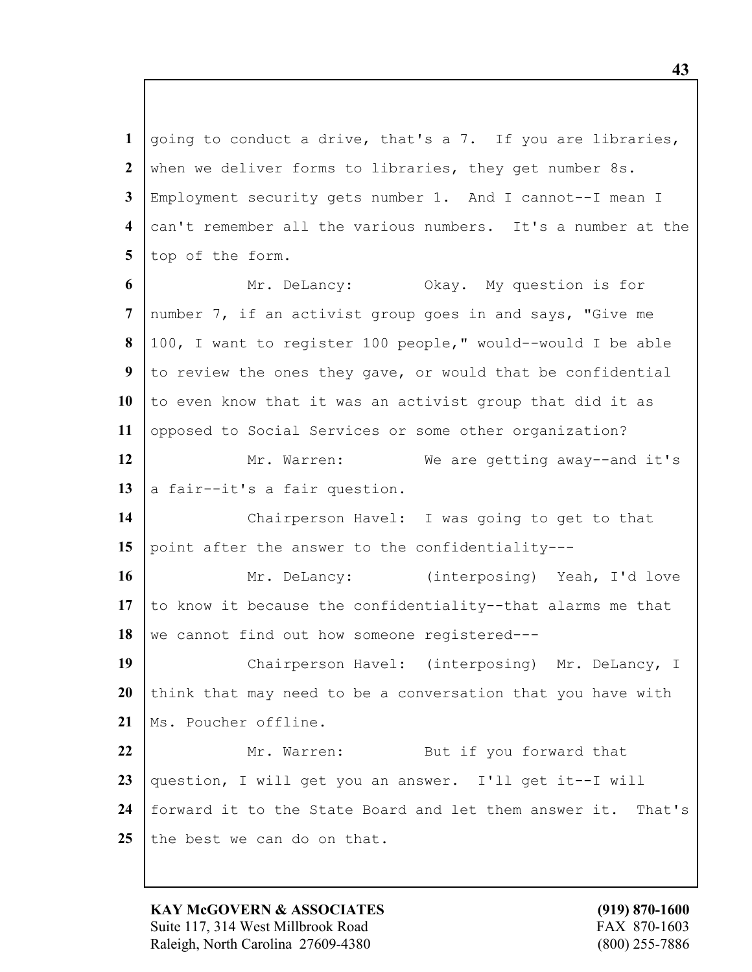going to conduct a drive, that's a 7. If you are libraries, 2 when we deliver forms to libraries, they get number 8s. Employment security gets number 1. And I cannot--I mean I can't remember all the various numbers. It's a number at the 5 top of the form. Mr. DeLancy: Okay. My question is for number 7, if an activist group goes in and says, "Give me 100, I want to register 100 people," would--would I be able to review the ones they gave, or would that be confidential 10 to even know that it was an activist group that did it as opposed to Social Services or some other organization? 12 Mr. Warren: We are getting away--and it's  $\vert$  a fair--it's a fair question.

**14** Chairperson Havel: I was going to get to that **15** point after the answer to the confidentiality---

**16** Mr. DeLancy: (interposing) Yeah, I'd love **17** to know it because the confidentiality--that alarms me that 18 we cannot find out how someone registered---

**19** Chairperson Havel: (interposing) Mr. DeLancy, I 20 think that may need to be a conversation that you have with 21 | Ms. Poucher offline.

 Mr. Warren: But if you forward that question, I will get you an answer. I'll get it--I will forward it to the State Board and let them answer it. That's 25 the best we can do on that.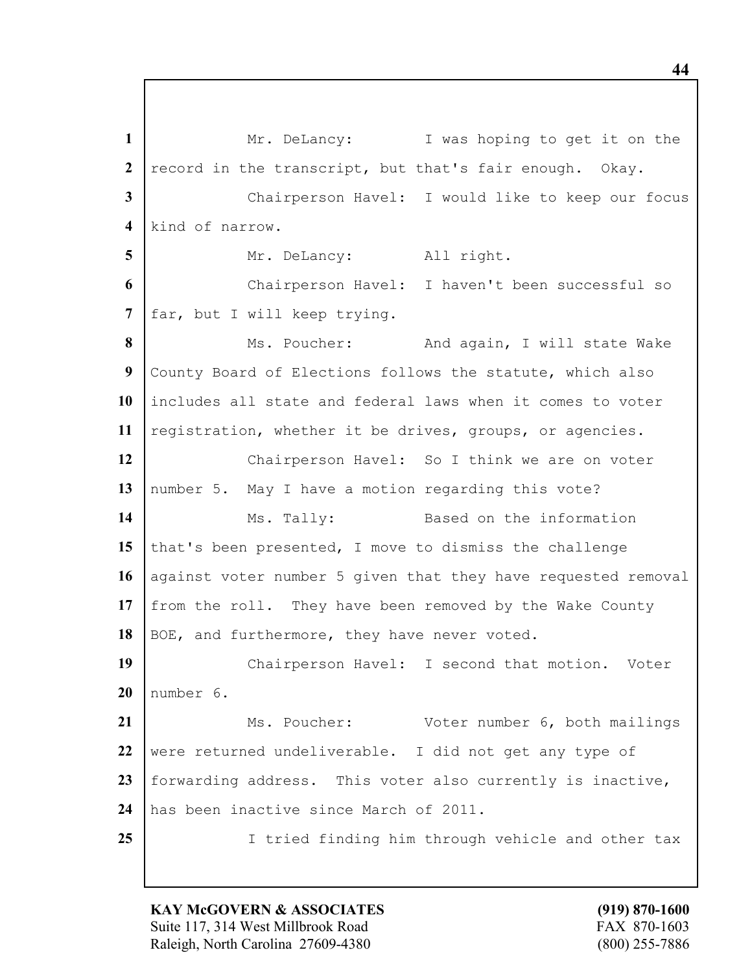1 Mr. DeLancy: I was hoping to get it on the 2 record in the transcript, but that's fair enough. Okay. **3** Chairperson Havel: I would like to keep our focus **4** kind of narrow. 5 | Mr. DeLancy: All right. **6** Chairperson Havel: I haven't been successful so **7** far, but I will keep trying. 8 Ms. Poucher: And again, I will state Wake **9** County Board of Elections follows the statute, which also **10** includes all state and federal laws when it comes to voter **11** registration, whether it be drives, groups, or agencies. 12 | Chairperson Havel: So I think we are on voter 13 | number 5. May I have a motion regarding this vote? 14 Ms. Tally: Based on the information **15** that's been presented, I move to dismiss the challenge 16 against voter number 5 given that they have requested removal **17** from the roll. They have been removed by the Wake County 18 BOE, and furthermore, they have never voted. 19 | Chairperson Havel: I second that motion. Voter **20** number 6. 21 | Ms. Poucher: Voter number 6, both mailings 22 were returned undeliverable. I did not get any type of **23** forwarding address. This voter also currently is inactive, **24** has been inactive since March of 2011. **25** I tried finding him through vehicle and other tax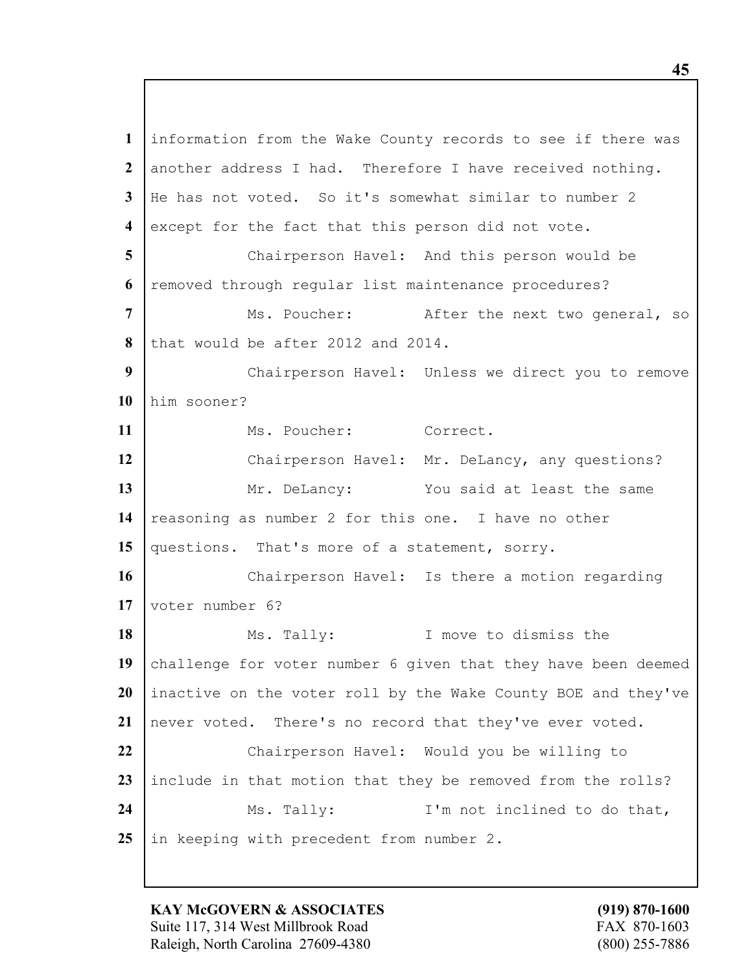information from the Wake County records to see if there was another address I had. Therefore I have received nothing. He has not voted. So it's somewhat similar to number 2 except for the fact that this person did not vote. Chairperson Havel: And this person would be removed through regular list maintenance procedures? Ms. Poucher: After the next two general, so that would be after 2012 and 2014. Chairperson Havel: Unless we direct you to remove him sooner? 11 Ms. Poucher: Correct. Chairperson Havel: Mr. DeLancy, any questions? 13 Mr. DeLancy: You said at least the same 14 reasoning as number 2 for this one. I have no other 15 questions. That's more of a statement, sorry. 16 | Chairperson Havel: Is there a motion regarding voter number 6? Ms. Tally: I move to dismiss the 19 challenge for voter number 6 given that they have been deemed inactive on the voter roll by the Wake County BOE and they've never voted. There's no record that they've ever voted. 22 Chairperson Havel: Would you be willing to include in that motion that they be removed from the rolls? 24 | Ms. Tally: I'm not inclined to do that, in keeping with precedent from number 2.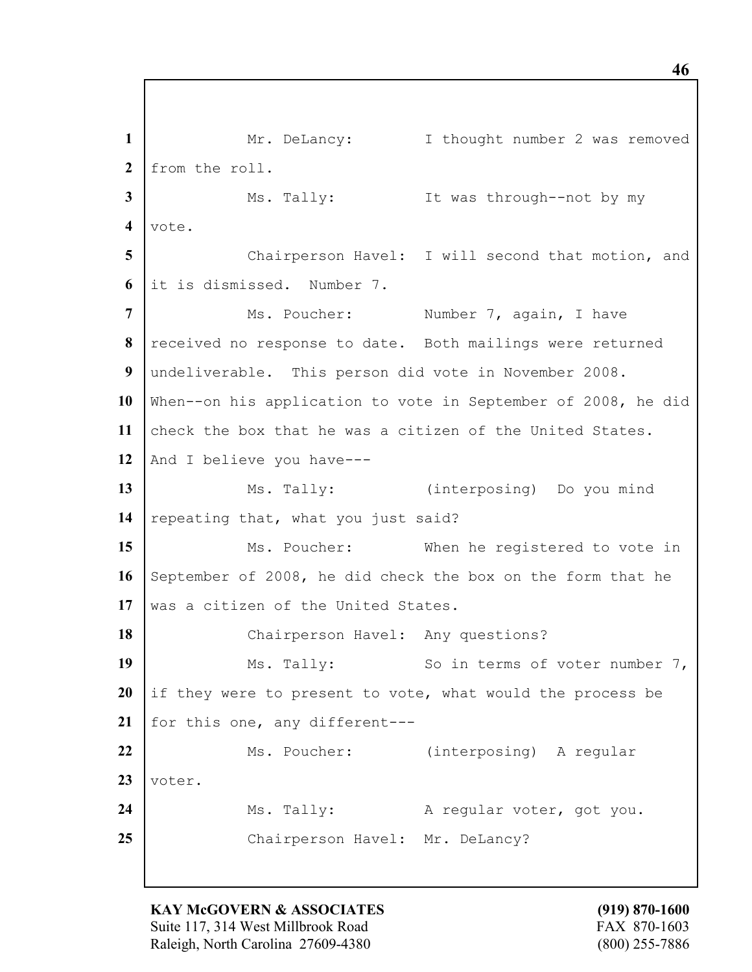1 Mr. DeLancy: I thought number 2 was removed **2** from the roll. **3** Ms. Tally: It was through--not by my **4** vote. **5** Chairperson Havel: I will second that motion, and **6** it is dismissed. Number 7. **7** Ns. Poucher: Number 7, again, I have **8** received no response to date. Both mailings were returned **9** undeliverable. This person did vote in November 2008. **10** When--on his application to vote in September of 2008, he did **11** check the box that he was a citizen of the United States. 12 And I believe you have---**13** Ms. Tally: (interposing) Do you mind 14 repeating that, what you just said? 15 Ms. Poucher: When he registered to vote in **16** September of 2008, he did check the box on the form that he 17 was a citizen of the United States. 18 | Chairperson Havel: Any questions? **19** Ms. Tally: So in terms of voter number 7, **20** if they were to present to vote, what would the process be 21 | for this one, any different---22 | Ms. Poucher: (interposing) A regular **23** voter. 24 | Ms. Tally: A regular voter, got you. 25 Chairperson Havel: Mr. DeLancy?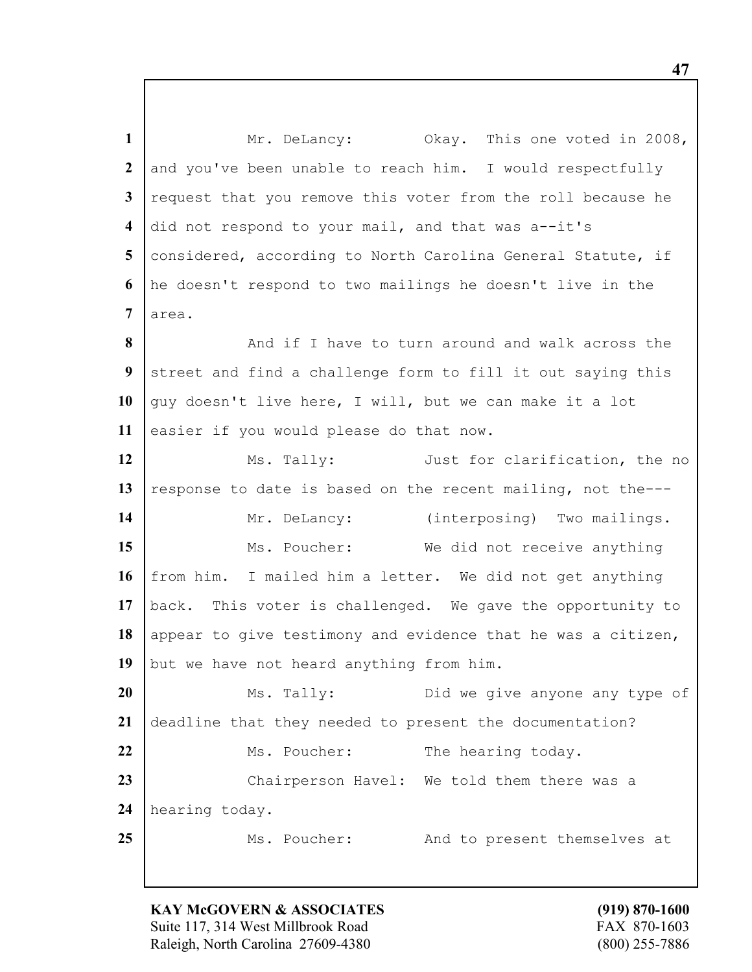1 Mr. DeLancy: Okay. This one voted in 2008, 2 and you've been unable to reach him. I would respectfully **3** request that you remove this voter from the roll because he **4** did not respond to your mail, and that was a--it's 5 considered, according to North Carolina General Statute, if **6** he doesn't respond to two mailings he doesn't live in the **7** area. **8** And if I have to turn around and walk across the **9** street and find a challenge form to fill it out saving this 10 guy doesn't live here, I will, but we can make it a lot 11 easier if you would please do that now. 12 Ms. Tally: Just for clarification, the no 13 response to date is based on the recent mailing, not the---14 | Mr. DeLancy: (interposing) Two mailings. 15 Ms. Poucher: We did not receive anything **16** from him. I mailed him a letter. We did not get anything **17** back. This voter is challenged. We gave the opportunity to 18 appear to give testimony and evidence that he was a citizen, 19 but we have not heard anything from him. **20** Ms. Tally: Did we give anyone any type of **21** deadline that they needed to present the documentation? 22 Ms. Poucher: The hearing today. 23 Chairperson Havel: We told them there was a **24** hearing today. 25 Ms. Poucher: And to present themselves at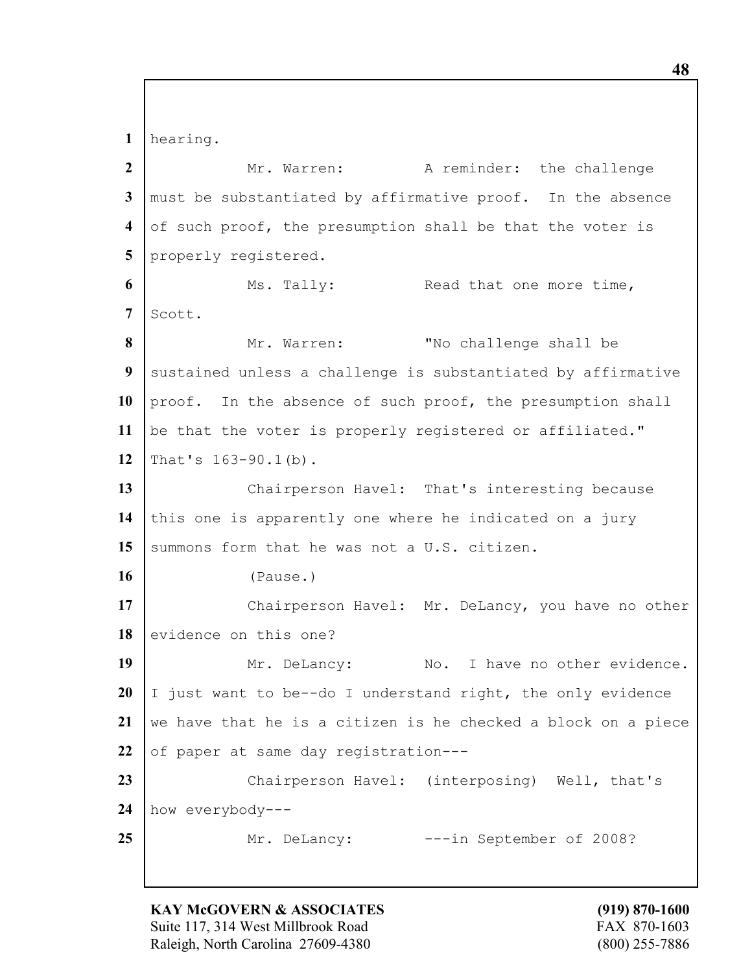**1** hearing.

**2** Mr. Warren: A reminder: the challenge **3** must be substantiated by affirmative proof. In the absence **4** of such proof, the presumption shall be that the voter is 5 properly registered. **6** Ms. Tally: Read that one more time, 7 Scott. **8** Mr. Warren: "No challenge shall be **9** sustained unless a challenge is substantiated by affirmative 10 proof. In the absence of such proof, the presumption shall **11** be that the voter is properly registered or affiliated." **12** That's 163-90.1(b). 13 Chairperson Havel: That's interesting because **14** this one is apparently one where he indicated on a jury 15 Summons form that he was not a U.S. citizen. **16** (Pause.) 17 Chairperson Havel: Mr. DeLancy, you have no other 18 evidence on this one? 19 Mr. DeLancy: No. I have no other evidence. **20** I just want to be--do I understand right, the only evidence **21** we have that he is a citizen is he checked a block on a piece 22 of paper at same day registration---23 Chairperson Havel: (interposing) Well, that's **24** how everybody--- 25 Mr. DeLancy:  $---in$  September of 2008?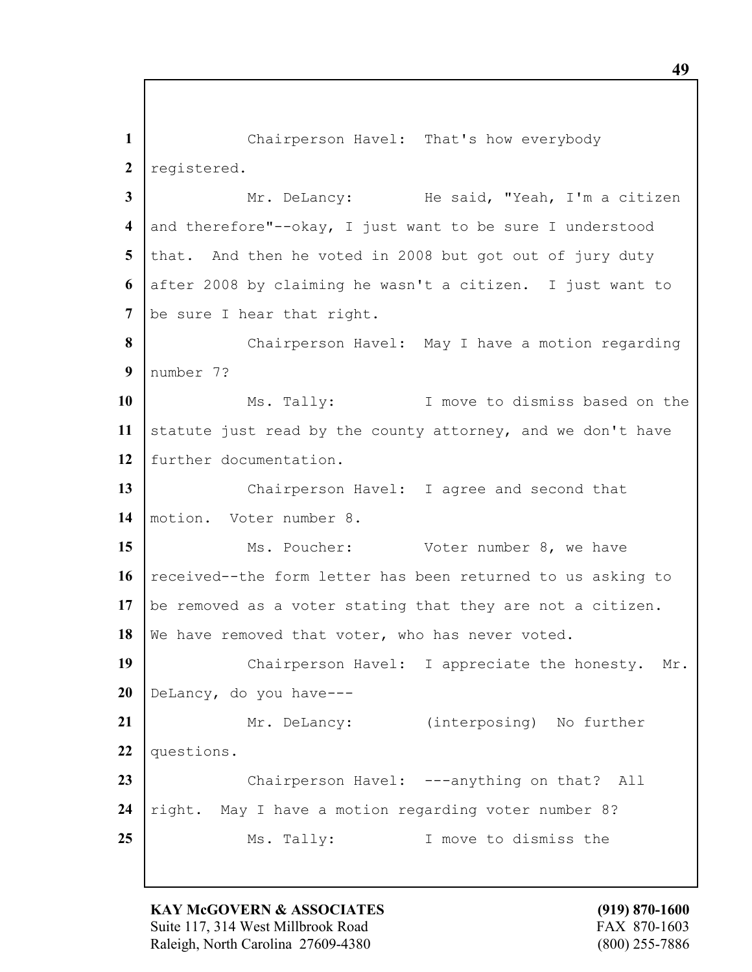1 Chairperson Havel: That's how everybody 2 registered. **3** Mr. DeLancy: He said, "Yeah, I'm a citizen **4** and therefore"--okay, I just want to be sure I understood 5 that. And then he voted in 2008 but got out of jury duty **6** after 2008 by claiming he wasn't a citizen. I just want to 7 be sure I hear that right. **8** Chairperson Havel: May I have a motion regarding **9** number 7? **10** Ms. Tally: I move to dismiss based on the 11 statute just read by the county attorney, and we don't have **12** further documentation. **13** Chairperson Havel: I agree and second that **14** motion. Voter number 8. 15 Ms. Poucher: Voter number 8, we have 16 received--the form letter has been returned to us asking to **17** be removed as a voter stating that they are not a citizen. 18 We have removed that voter, who has never voted. 19 | Chairperson Havel: I appreciate the honesty. Mr. **20** DeLancy, do you have--- 21 | Mr. DeLancy: (interposing) No further **22** questions. 23 Chairperson Havel: ---anything on that? All **24** right. May I have a motion regarding voter number 8? 25 Ms. Tally: I move to dismiss the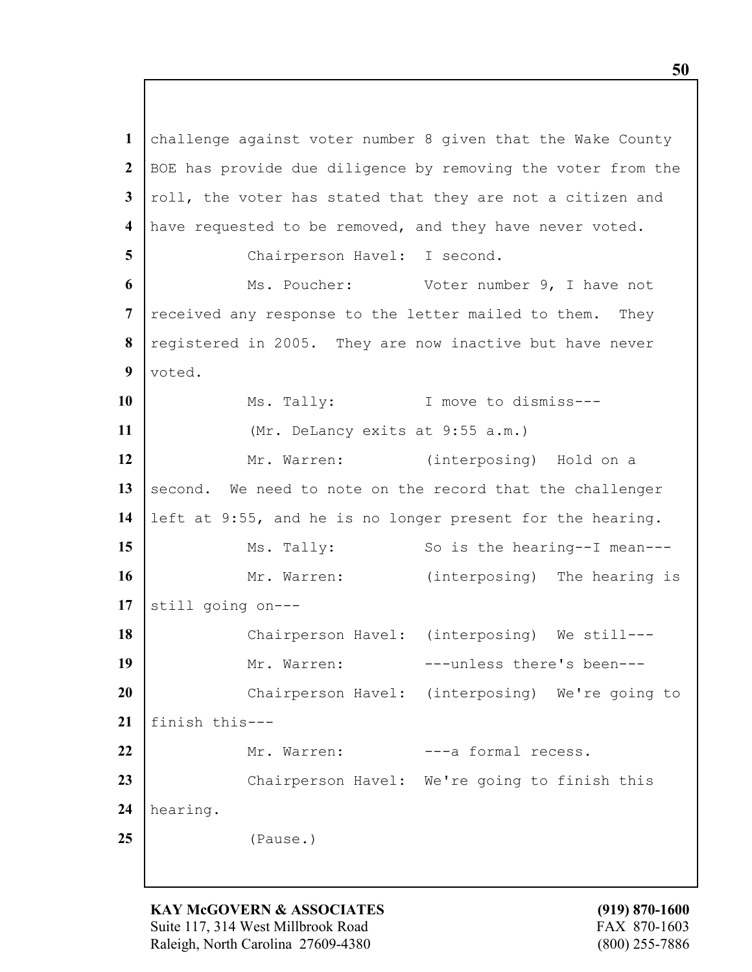challenge against voter number 8 given that the Wake County BOE has provide due diligence by removing the voter from the roll, the voter has stated that they are not a citizen and have requested to be removed, and they have never voted. Chairperson Havel: I second. Ms. Poucher: Voter number 9, I have not received any response to the letter mailed to them. They registered in 2005. They are now inactive but have never voted. 10 | Ms. Tally: I move to dismiss--- (Mr. DeLancy exits at 9:55 a.m.) Mr. Warren: (interposing) Hold on a 13 second. We need to note on the record that the challenger left at 9:55, and he is no longer present for the hearing. Ms. Tally: So is the hearing--I mean---16 Mr. Warren: (interposing) The hearing is still going on--- Chairperson Havel: (interposing) We still--- 19 | Mr. Warren: ---unless there's been--- Chairperson Havel: (interposing) We're going to finish this--- 22 Mr. Warren: ---a formal recess. 23 Chairperson Havel: We're going to finish this hearing. (Pause.)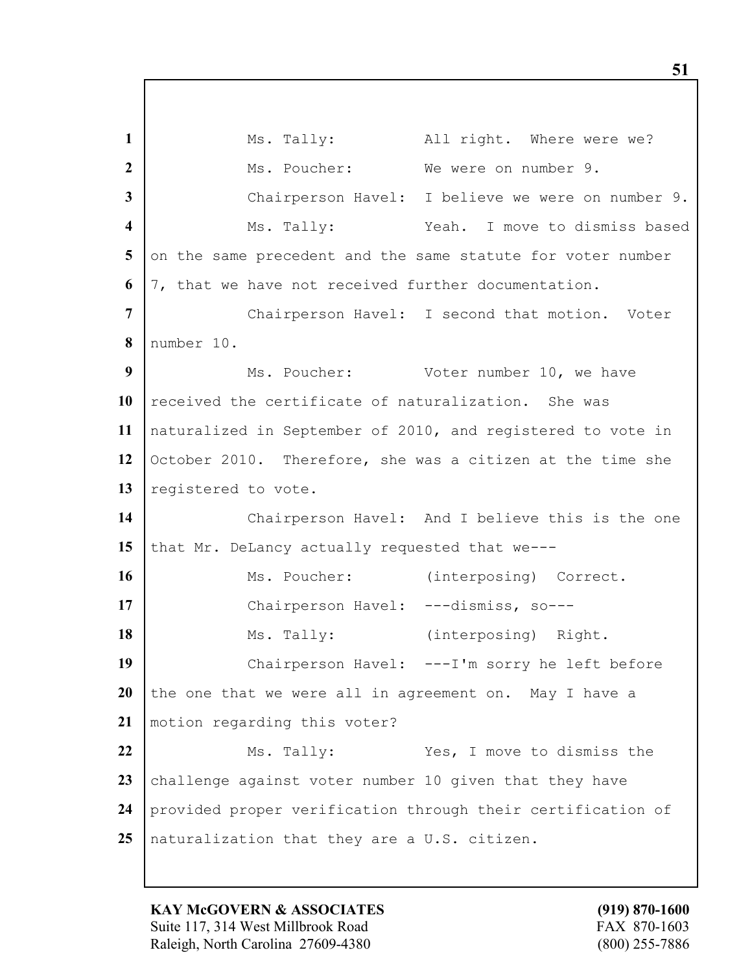1 Ms. Tally: All right. Where were we? Ms. Poucher: We were on number 9. Chairperson Havel: I believe we were on number 9. Ms. Tally: Yeah. I move to dismiss based 5 on the same precedent and the same statute for voter number 7, that we have not received further documentation. Chairperson Havel: I second that motion. Voter number 10. Ms. Poucher: Voter number 10, we have received the certificate of naturalization. She was naturalized in September of 2010, and registered to vote in October 2010. Therefore, she was a citizen at the time she 13 registered to vote. Chairperson Havel: And I believe this is the one 15 that Mr. DeLancy actually requested that we---16 | Ms. Poucher: (interposing) Correct. 17 | Chairperson Havel: ---dismiss, so--- Ms. Tally: (interposing) Right. Chairperson Havel: ---I'm sorry he left before the one that we were all in agreement on. May I have a motion regarding this voter? Ms. Tally: Yes, I move to dismiss the 23 challenge against voter number 10 given that they have provided proper verification through their certification of naturalization that they are a U.S. citizen.

**KAY McGOVERN & ASSOCIATES (919) 870-1600** Suite 117, 314 West Millbrook Road FAX 870-1603 Raleigh, North Carolina 27609-4380 (800) 255-7886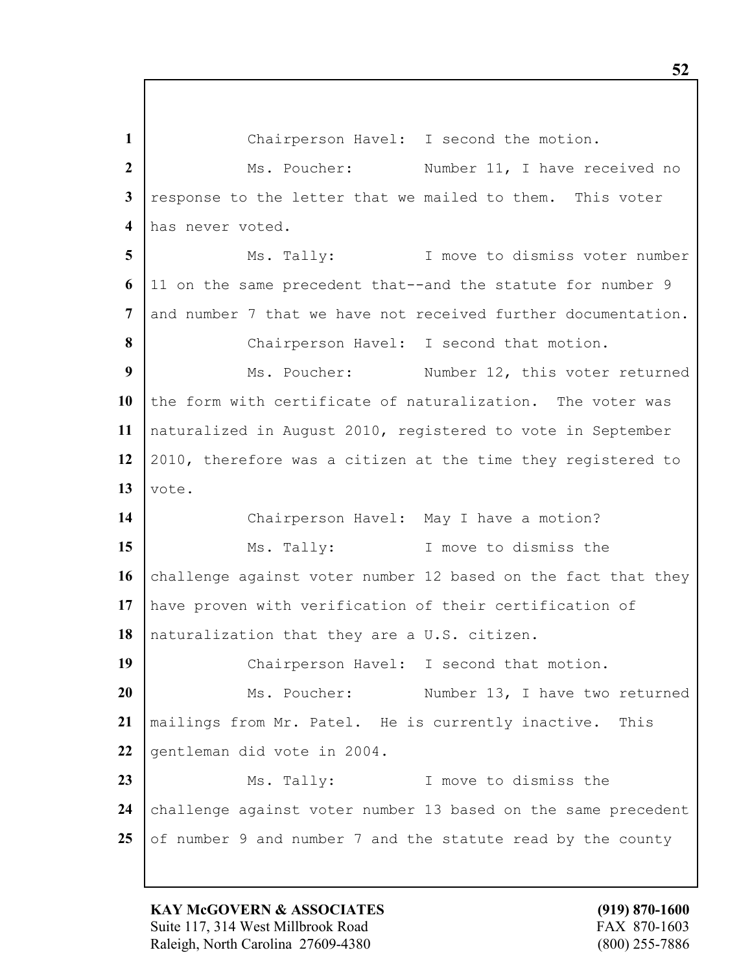Chairperson Havel: I second the motion. Ms. Poucher: Number 11, I have received no response to the letter that we mailed to them. This voter has never voted. Ms. Tally: I move to dismiss voter number 11 on the same precedent that--and the statute for number 9 and number 7 that we have not received further documentation. 8 Chairperson Havel: I second that motion. Ms. Poucher: Number 12, this voter returned the form with certificate of naturalization. The voter was naturalized in August 2010, registered to vote in September 2010, therefore was a citizen at the time they registered to vote. 14 | Chairperson Havel: May I have a motion? 15 Ms. Tally: I move to dismiss the 16 challenge against voter number 12 based on the fact that they have proven with verification of their certification of naturalization that they are a U.S. citizen. 19 | Chairperson Havel: I second that motion. | Ms. Poucher: Number 13, I have two returned mailings from Mr. Patel. He is currently inactive. This 22 gentleman did vote in 2004. Ms. Tally: I move to dismiss the 24 challenge against voter number 13 based on the same precedent 25 of number 9 and number 7 and the statute read by the county

**KAY McGOVERN & ASSOCIATES (919) 870-1600** Suite 117, 314 West Millbrook Road FAX 870-1603 Raleigh, North Carolina 27609-4380 (800) 255-7886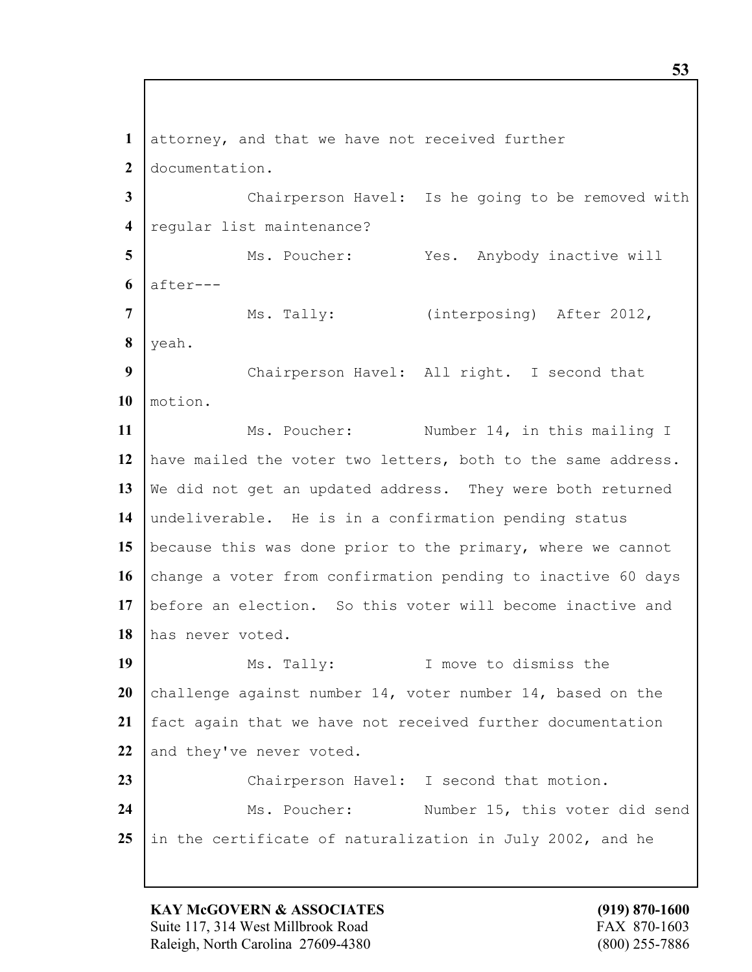**1** attorney, and that we have not received further **2** documentation. **3** Chairperson Havel: Is he going to be removed with **4** regular list maintenance? 5 | Ms. Poucher: Yes. Anybody inactive will  $6$  after---7 | Ms. Tally: (interposing) After 2012, **8** yeah. **9** Chairperson Havel: All right. I second that **10** motion. 11 | Ms. Poucher: Number 14, in this mailing I **12** have mailed the voter two letters, both to the same address. **13** We did not get an updated address. They were both returned **14** undeliverable. He is in a confirmation pending status **15** because this was done prior to the primary, where we cannot 16 change a voter from confirmation pending to inactive 60 days **17** before an election. So this voter will become inactive and **18** has never voted. 19 Ms. Tally: I move to dismiss the **20** challenge against number 14, voter number 14, based on the **21** fact again that we have not received further documentation 22 and they've never voted. 23 Chairperson Havel: I second that motion. 24 | Ms. Poucher: Number 15, this voter did send 25 in the certificate of naturalization in July 2002, and he

**KAY McGOVERN & ASSOCIATES (919) 870-1600** Suite 117, 314 West Millbrook Road FAX 870-1603 Raleigh, North Carolina 27609-4380 (800) 255-7886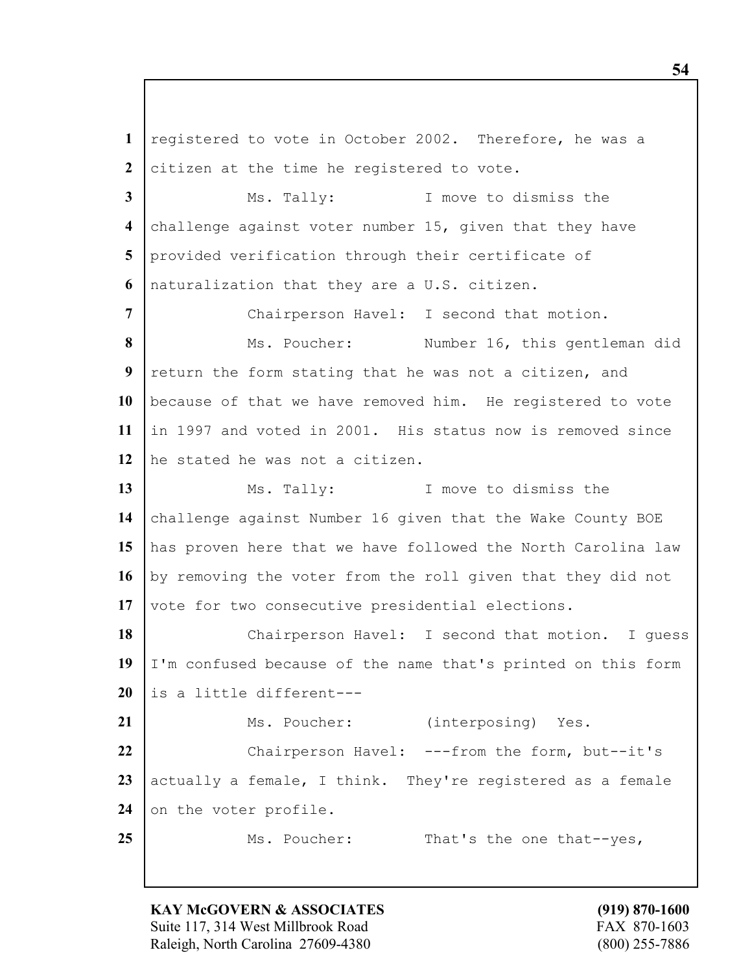registered to vote in October 2002. Therefore, he was a citizen at the time he registered to vote. Ms. Tally: I move to dismiss the challenge against voter number 15, given that they have provided verification through their certificate of naturalization that they are a U.S. citizen. Chairperson Havel: I second that motion. Ms. Poucher: Number 16, this gentleman did return the form stating that he was not a citizen, and because of that we have removed him. He registered to vote in 1997 and voted in 2001. His status now is removed since he stated he was not a citizen. 13 Ms. Tally: I move to dismiss the challenge against Number 16 given that the Wake County BOE has proven here that we have followed the North Carolina law 16 by removing the voter from the roll given that they did not 17 vote for two consecutive presidential elections. Chairperson Havel: I second that motion. I guess I'm confused because of the name that's printed on this form is a little different--- 21 | Ms. Poucher: (interposing) Yes. 22 Chairperson Havel: ---from the form, but--it's 23 actually a female, I think. They're registered as a female 24 on the voter profile. 25 Ms. Poucher: That's the one that--yes,

**KAY McGOVERN & ASSOCIATES (919) 870-1600** Suite 117, 314 West Millbrook Road FAX 870-1603 Raleigh, North Carolina 27609-4380 (800) 255-7886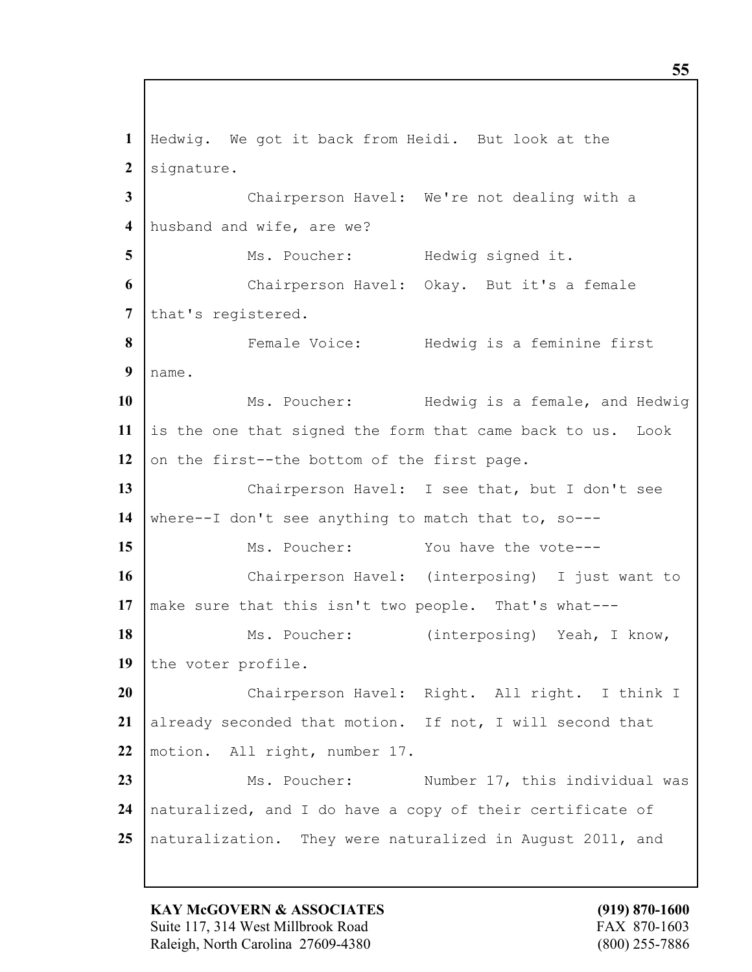Hedwig. We got it back from Heidi. But look at the 2 signature. Chairperson Havel: We're not dealing with a husband and wife, are we? 5 | Ms. Poucher: Hedwig signed it. Chairperson Havel: Okay. But it's a female 7 that's registered. **F**emale Voice: Hedwig is a feminine first name. Ms. Poucher: Hedwig is a female, and Hedwig is the one that signed the form that came back to us. Look 12 on the first--the bottom of the first page. Chairperson Havel: I see that, but I don't see where--I don't see anything to match that to, so--- 15 Ms. Poucher: You have the vote--- Chairperson Havel: (interposing) I just want to make sure that this isn't two people. That's what--- 18 | Ms. Poucher: (interposing) Yeah, I know, 19 the voter profile. Chairperson Havel: Right. All right. I think I already seconded that motion. If not, I will second that motion. All right, number 17. 23 | Ms. Poucher: Number 17, this individual was naturalized, and I do have a copy of their certificate of naturalization. They were naturalized in August 2011, and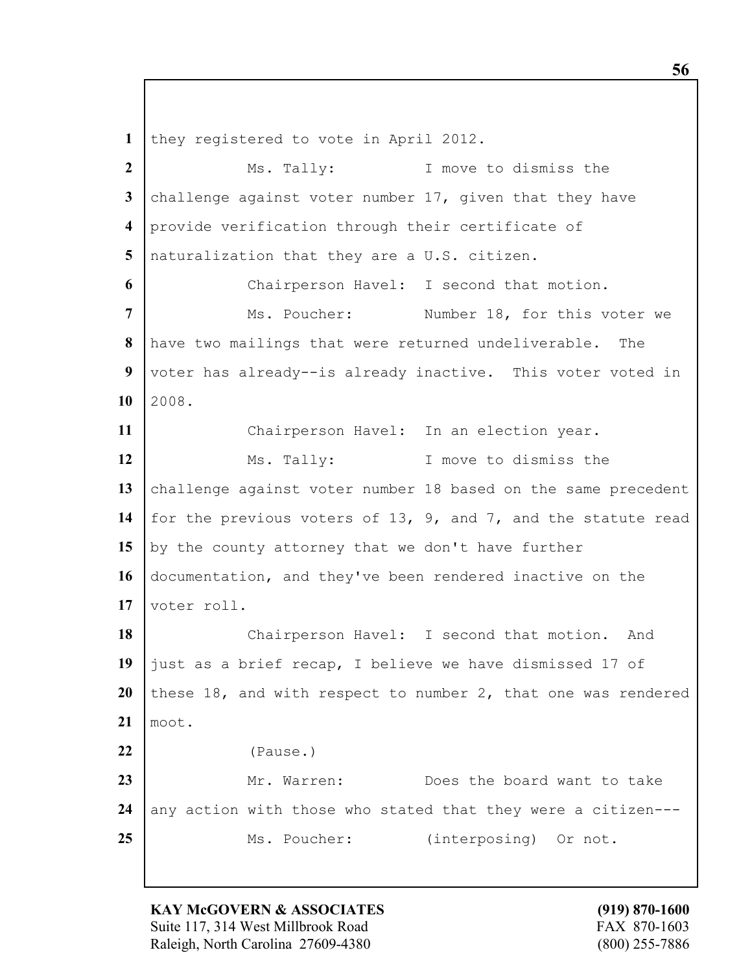they registered to vote in April 2012. Ms. Tally: I move to dismiss the challenge against voter number 17, given that they have provide verification through their certificate of naturalization that they are a U.S. citizen. Chairperson Havel: I second that motion. Ms. Poucher: Number 18, for this voter we have two mailings that were returned undeliverable. The voter has already--is already inactive. This voter voted in  $10 \ \ 2008.$  Chairperson Havel: In an election year. 12 Ms. Tally: I move to dismiss the 13 challenge against voter number 18 based on the same precedent for the previous voters of 13, 9, and 7, and the statute read 15 by the county attorney that we don't have further documentation, and they've been rendered inactive on the 17 voter roll. 18 | Chairperson Havel: I second that motion. And just as a brief recap, I believe we have dismissed 17 of 20 these 18, and with respect to number 2, that one was rendered moot. (Pause.) Mr. Warren: Does the board want to take any action with those who stated that they were a citizen---25 Ms. Poucher: (interposing) Or not.

**KAY McGOVERN & ASSOCIATES (919) 870-1600** Suite 117, 314 West Millbrook Road FAX 870-1603 Raleigh, North Carolina 27609-4380 (800) 255-7886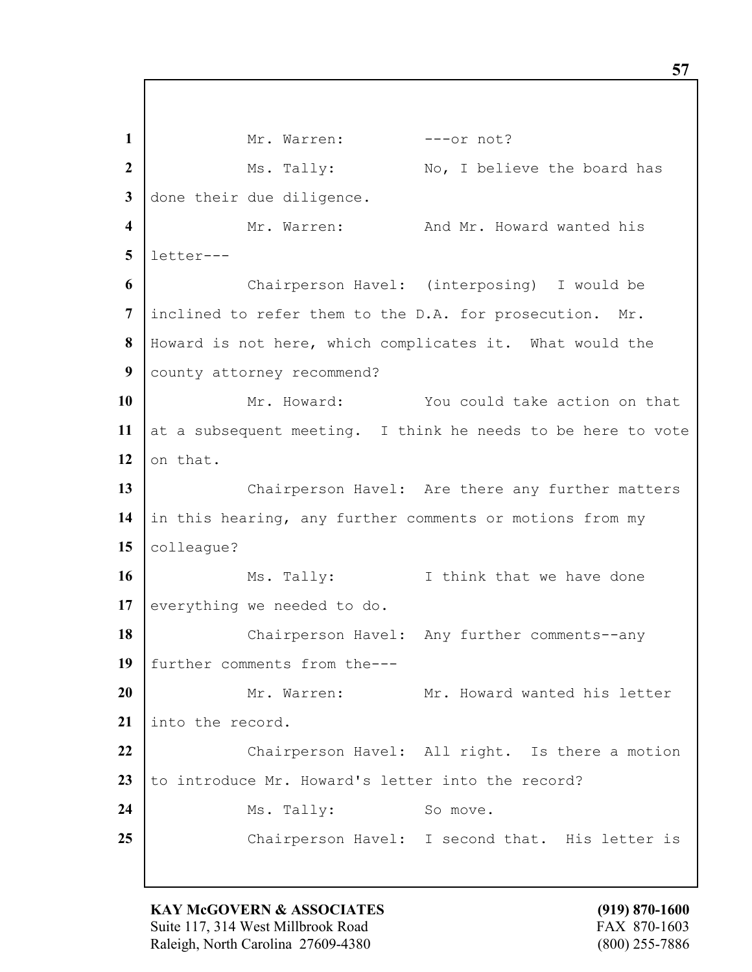1 Mr. Warren: ---or not? 2 Ms. Tally: No, I believe the board has done their due diligence. Mr. Warren: And Mr. Howard wanted his letter--- Chairperson Havel: (interposing) I would be inclined to refer them to the D.A. for prosecution. Mr. Howard is not here, which complicates it. What would the county attorney recommend? Mr. Howard: You could take action on that 11 | at a subsequent meeting. I think he needs to be here to vote on that. 13 Chairperson Havel: Are there any further matters in this hearing, any further comments or motions from my colleague? Ms. Tally: I think that we have done 17 everything we needed to do. 18 | Chairperson Havel: Any further comments--any further comments from the--- Mr. Warren: Mr. Howard wanted his letter into the record. Chairperson Havel: All right. Is there a motion 23 to introduce Mr. Howard's letter into the record? 24 Ms. Tally: So move. Chairperson Havel: I second that. His letter is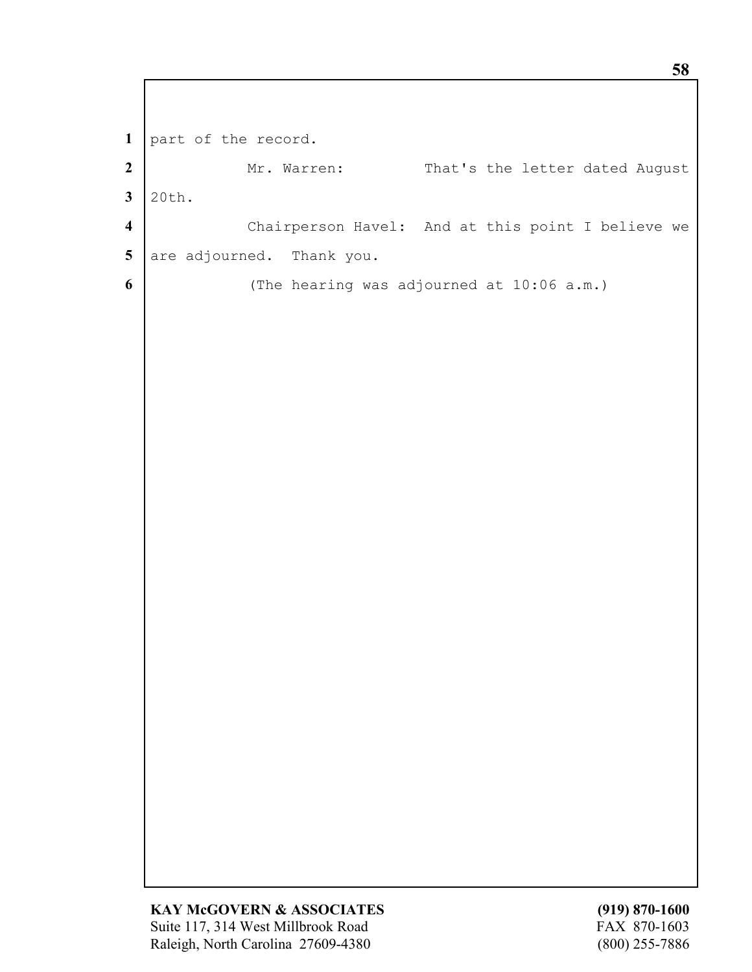**1** part of the record. 2 Mr. Warren: That's the letter dated August **3** 20th. **4** Chairperson Havel: And at this point I believe we 5 are adjourned. Thank you. **6** (The hearing was adjourned at 10:06 a.m.)